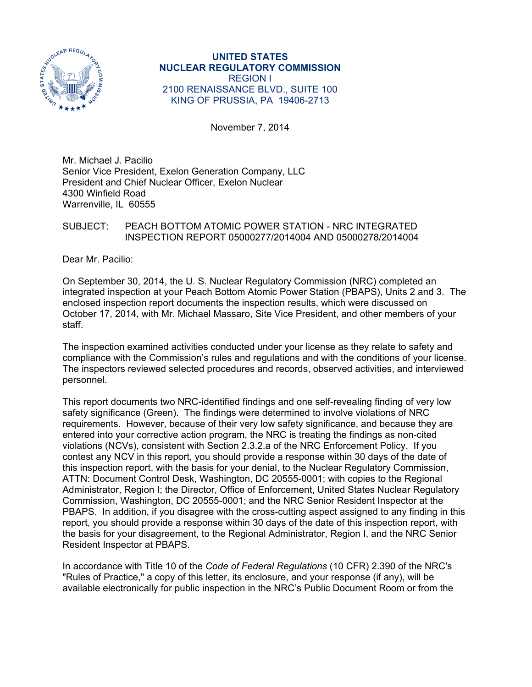

**UNITED STATES NUCLEAR REGULATORY COMMISSION**  REGION I 2100 RENAISSANCE BLVD., SUITE 100 KING OF PRUSSIA, PA 19406-2713

November 7, 2014

Mr. Michael J. Pacilio Senior Vice President, Exelon Generation Company, LLC President and Chief Nuclear Officer, Exelon Nuclear 4300 Winfield Road Warrenville, IL 60555

### SUBJECT: PEACH BOTTOM ATOMIC POWER STATION - NRC INTEGRATED INSPECTION REPORT 05000277/2014004 AND 05000278/2014004

Dear Mr. Pacilio:

On September 30, 2014, the U. S. Nuclear Regulatory Commission (NRC) completed an integrated inspection at your Peach Bottom Atomic Power Station (PBAPS), Units 2 and 3. The enclosed inspection report documents the inspection results, which were discussed on October 17, 2014, with Mr. Michael Massaro, Site Vice President, and other members of your staff.

The inspection examined activities conducted under your license as they relate to safety and compliance with the Commission's rules and regulations and with the conditions of your license. The inspectors reviewed selected procedures and records, observed activities, and interviewed personnel.

This report documents two NRC-identified findings and one self-revealing finding of very low safety significance (Green). The findings were determined to involve violations of NRC requirements. However, because of their very low safety significance, and because they are entered into your corrective action program, the NRC is treating the findings as non-cited violations (NCVs), consistent with Section 2.3.2.a of the NRC Enforcement Policy. If you contest any NCV in this report, you should provide a response within 30 days of the date of this inspection report, with the basis for your denial, to the Nuclear Regulatory Commission, ATTN: Document Control Desk, Washington, DC 20555-0001; with copies to the Regional Administrator, Region I; the Director, Office of Enforcement, United States Nuclear Regulatory Commission, Washington, DC 20555-0001; and the NRC Senior Resident Inspector at the PBAPS. In addition, if you disagree with the cross-cutting aspect assigned to any finding in this report, you should provide a response within 30 days of the date of this inspection report, with the basis for your disagreement, to the Regional Administrator, Region I, and the NRC Senior Resident Inspector at PBAPS.

In accordance with Title 10 of the *Code of Federal Regulations* (10 CFR) 2.390 of the NRC's "Rules of Practice," a copy of this letter, its enclosure, and your response (if any), will be available electronically for public inspection in the NRC's Public Document Room or from the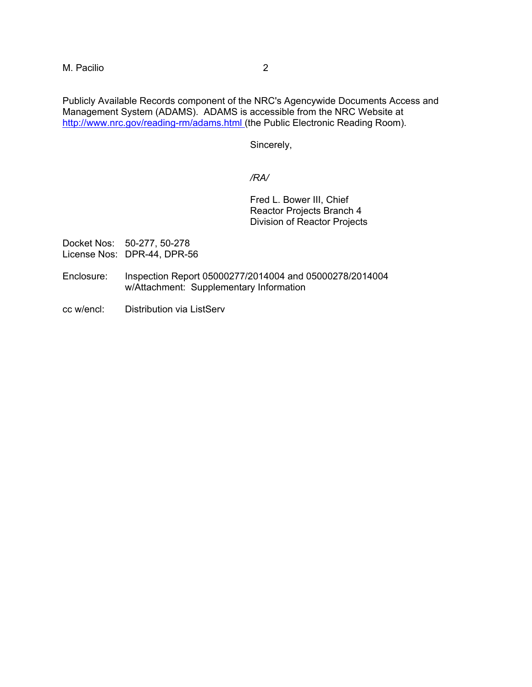M. Pacilio 2

Publicly Available Records component of the NRC's Agencywide Documents Access and Management System (ADAMS). ADAMS is accessible from the NRC Website at http://www.nrc.gov/reading-rm/adams.html (the Public Electronic Reading Room).

Sincerely,

### */RA/*

Fred L. Bower III, Chief Reactor Projects Branch 4 Division of Reactor Projects

Docket Nos: 50-277, 50-278 License Nos: DPR-44, DPR-56

- Enclosure: Inspection Report 05000277/2014004 and 05000278/2014004 w/Attachment: Supplementary Information
- cc w/encl: Distribution via ListServ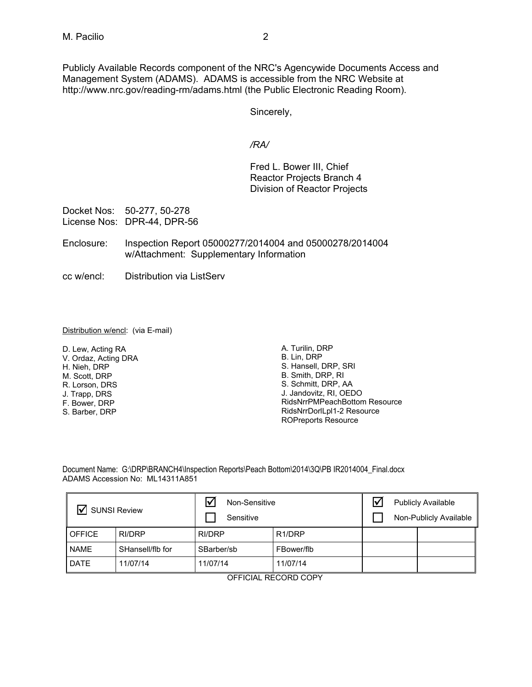Publicly Available Records component of the NRC's Agencywide Documents Access and Management System (ADAMS). ADAMS is accessible from the NRC Website at http://www.nrc.gov/reading-rm/adams.html (the Public Electronic Reading Room).

Sincerely,

*/RA/* 

 Fred L. Bower III, Chief Reactor Projects Branch 4 Division of Reactor Projects

Docket Nos: 50-277, 50-278 License Nos: DPR-44, DPR-56

- Enclosure: Inspection Report 05000277/2014004 and 05000278/2014004 w/Attachment: Supplementary Information
- cc w/encl: Distribution via ListServ

#### Distribution w/encl: (via E-mail)

D. Lew, Acting RA V. Ordaz, Acting DRA H. Nieh, DRP M. Scott, DRP R. Lorson, DRS J. Trapp, DRS F. Bower, DRP S. Barber, DRP

A. Turilin, DRP B. Lin, DRP S. Hansell, DRP, SRI B. Smith, DRP, RI S. Schmitt, DRP, AA J. Jandovitz, RI, OEDO RidsNrrPMPeachBottom Resource RidsNrrDorlLpl1-2 Resource ROPreports Resource

Document Name: G:\DRP\BRANCH4\Inspection Reports\Peach Bottom\2014\3Q\PB IR2014004 Final.docx ADAMS Accession No: ML14311A851

| <b>SUNSI Review</b> |                  | ☑<br>Non-Sensitive<br>Sensitive |                     | Ⅳ | <b>Publicly Available</b><br>Non-Publicly Available |
|---------------------|------------------|---------------------------------|---------------------|---|-----------------------------------------------------|
| <b>OFFICE</b>       | RI/DRP           | RI/DRP                          | R <sub>1</sub> /DRP |   |                                                     |
| <b>NAME</b>         | SHansell/flb for | SBarber/sb                      | FBower/flb          |   |                                                     |
| <b>DATE</b>         | 11/07/14         | 11/07/14                        | 11/07/14            |   |                                                     |

OFFICIAL RECORD COPY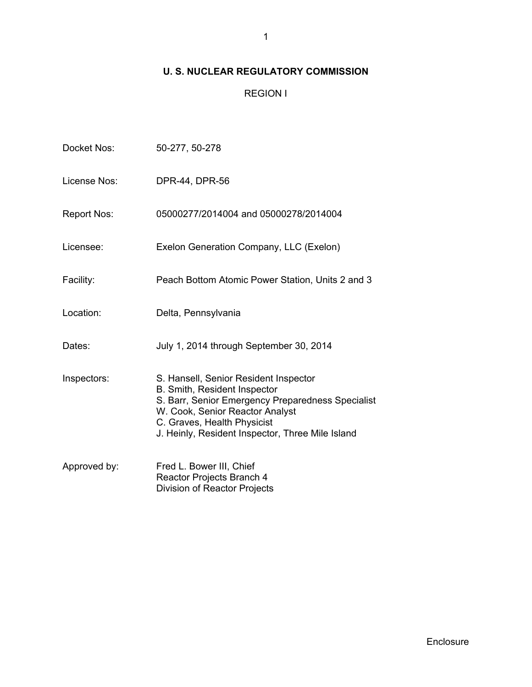# **U. S. NUCLEAR REGULATORY COMMISSION**

## REGION I

| Docket Nos:        | 50-277, 50-278                                                                                                                                                                                                                                   |
|--------------------|--------------------------------------------------------------------------------------------------------------------------------------------------------------------------------------------------------------------------------------------------|
| License Nos:       | DPR-44, DPR-56                                                                                                                                                                                                                                   |
| <b>Report Nos:</b> | 05000277/2014004 and 05000278/2014004                                                                                                                                                                                                            |
| Licensee:          | Exelon Generation Company, LLC (Exelon)                                                                                                                                                                                                          |
| Facility:          | Peach Bottom Atomic Power Station, Units 2 and 3                                                                                                                                                                                                 |
| Location:          | Delta, Pennsylvania                                                                                                                                                                                                                              |
| Dates:             | July 1, 2014 through September 30, 2014                                                                                                                                                                                                          |
| Inspectors:        | S. Hansell, Senior Resident Inspector<br>B. Smith, Resident Inspector<br>S. Barr, Senior Emergency Preparedness Specialist<br>W. Cook, Senior Reactor Analyst<br>C. Graves, Health Physicist<br>J. Heinly, Resident Inspector, Three Mile Island |
| Approved by:       | Fred L. Bower III, Chief<br>Reactor Projects Branch 4<br>Division of Reactor Projects                                                                                                                                                            |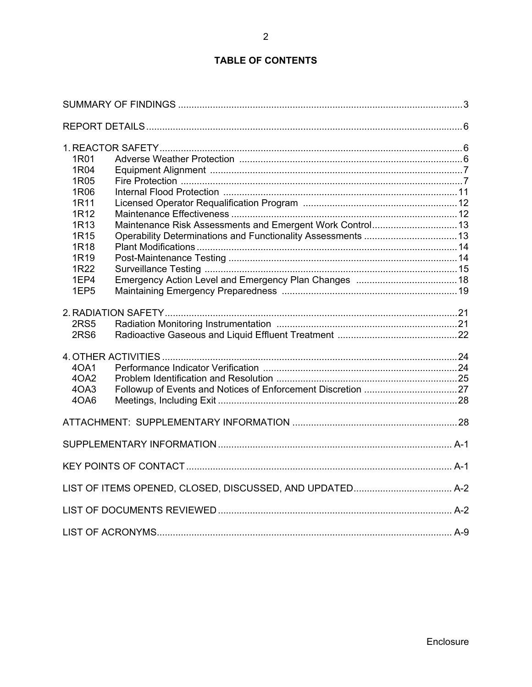# **TABLE OF CONTENTS**

| 1R01<br>1R04<br>1R05<br>1R06<br>1R11<br>1R12<br>1R13<br>1R <sub>15</sub><br>1R18<br>1R <sub>19</sub><br>1R22<br>1EP4<br>1EP <sub>5</sub> |  |
|------------------------------------------------------------------------------------------------------------------------------------------|--|
| <b>2RS5</b><br>2RS <sub>6</sub>                                                                                                          |  |
| 40A1<br>4OA2<br>4OA3<br>4OA6                                                                                                             |  |
|                                                                                                                                          |  |
|                                                                                                                                          |  |
|                                                                                                                                          |  |
|                                                                                                                                          |  |
|                                                                                                                                          |  |
|                                                                                                                                          |  |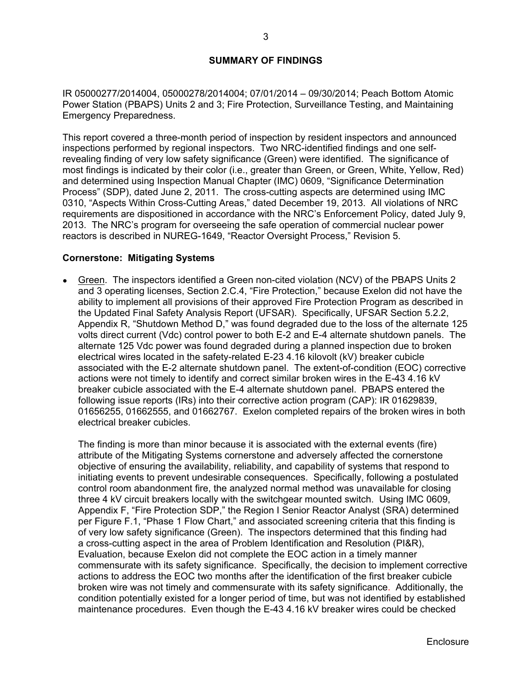### **SUMMARY OF FINDINGS**

IR 05000277/2014004, 05000278/2014004; 07/01/2014 – 09/30/2014; Peach Bottom Atomic Power Station (PBAPS) Units 2 and 3; Fire Protection, Surveillance Testing, and Maintaining Emergency Preparedness.

This report covered a three-month period of inspection by resident inspectors and announced inspections performed by regional inspectors. Two NRC-identified findings and one selfrevealing finding of very low safety significance (Green) were identified. The significance of most findings is indicated by their color (i.e., greater than Green, or Green, White, Yellow, Red) and determined using Inspection Manual Chapter (IMC) 0609, "Significance Determination Process" (SDP), dated June 2, 2011. The cross-cutting aspects are determined using IMC 0310, "Aspects Within Cross-Cutting Areas," dated December 19, 2013. All violations of NRC requirements are dispositioned in accordance with the NRC's Enforcement Policy, dated July 9, 2013. The NRC's program for overseeing the safe operation of commercial nuclear power reactors is described in NUREG-1649, "Reactor Oversight Process," Revision 5.

#### **Cornerstone: Mitigating Systems**

• Green. The inspectors identified a Green non-cited violation (NCV) of the PBAPS Units 2 and 3 operating licenses, Section 2.C.4, "Fire Protection," because Exelon did not have the ability to implement all provisions of their approved Fire Protection Program as described in the Updated Final Safety Analysis Report (UFSAR). Specifically, UFSAR Section 5.2.2, Appendix R, "Shutdown Method D," was found degraded due to the loss of the alternate 125 volts direct current (Vdc) control power to both E-2 and E-4 alternate shutdown panels. The alternate 125 Vdc power was found degraded during a planned inspection due to broken electrical wires located in the safety-related E-23 4.16 kilovolt (kV) breaker cubicle associated with the E-2 alternate shutdown panel. The extent-of-condition (EOC) corrective actions were not timely to identify and correct similar broken wires in the E-43 4.16 kV breaker cubicle associated with the E-4 alternate shutdown panel. PBAPS entered the following issue reports (IRs) into their corrective action program (CAP): IR 01629839, 01656255, 01662555, and 01662767. Exelon completed repairs of the broken wires in both electrical breaker cubicles.

The finding is more than minor because it is associated with the external events (fire) attribute of the Mitigating Systems cornerstone and adversely affected the cornerstone objective of ensuring the availability, reliability, and capability of systems that respond to initiating events to prevent undesirable consequences. Specifically, following a postulated control room abandonment fire, the analyzed normal method was unavailable for closing three 4 kV circuit breakers locally with the switchgear mounted switch. Using IMC 0609, Appendix F, "Fire Protection SDP," the Region I Senior Reactor Analyst (SRA) determined per Figure F.1, "Phase 1 Flow Chart," and associated screening criteria that this finding is of very low safety significance (Green). The inspectors determined that this finding had a cross-cutting aspect in the area of Problem Identification and Resolution (PI&R), Evaluation, because Exelon did not complete the EOC action in a timely manner commensurate with its safety significance. Specifically, the decision to implement corrective actions to address the EOC two months after the identification of the first breaker cubicle broken wire was not timely and commensurate with its safety significance. Additionally, the condition potentially existed for a longer period of time, but was not identified by established maintenance procedures. Even though the E-43 4.16 kV breaker wires could be checked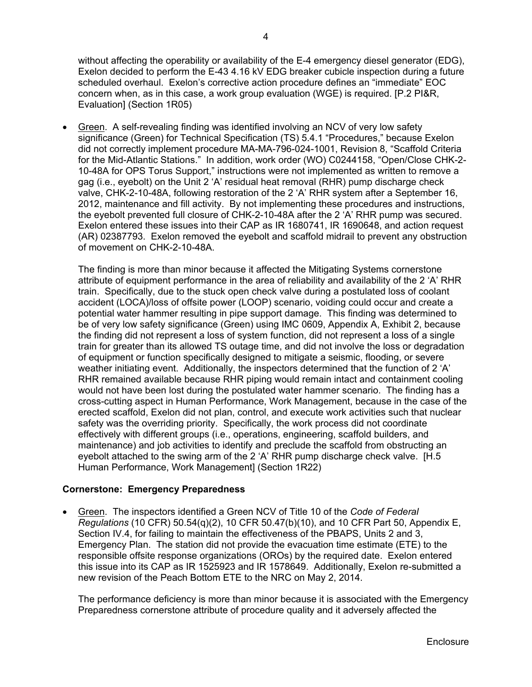without affecting the operability or availability of the E-4 emergency diesel generator (EDG), Exelon decided to perform the E-43 4.16 kV EDG breaker cubicle inspection during a future scheduled overhaul. Exelon's corrective action procedure defines an "immediate" EOC concern when, as in this case, a work group evaluation (WGE) is required. [P.2 PI&R, Evaluation] (Section 1R05)

 Green. A self-revealing finding was identified involving an NCV of very low safety significance (Green) for Technical Specification (TS) 5.4.1 "Procedures," because Exelon did not correctly implement procedure MA-MA-796-024-1001, Revision 8, "Scaffold Criteria for the Mid-Atlantic Stations." In addition, work order (WO) C0244158, "Open/Close CHK-2- 10-48A for OPS Torus Support," instructions were not implemented as written to remove a gag (i.e., eyebolt) on the Unit 2 'A' residual heat removal (RHR) pump discharge check valve, CHK-2-10-48A, following restoration of the 2 'A' RHR system after a September 16, 2012, maintenance and fill activity. By not implementing these procedures and instructions, the eyebolt prevented full closure of CHK-2-10-48A after the 2 'A' RHR pump was secured. Exelon entered these issues into their CAP as IR 1680741, IR 1690648, and action request (AR) 02387793. Exelon removed the eyebolt and scaffold midrail to prevent any obstruction of movement on CHK-2-10-48A.

The finding is more than minor because it affected the Mitigating Systems cornerstone attribute of equipment performance in the area of reliability and availability of the 2 'A' RHR train. Specifically, due to the stuck open check valve during a postulated loss of coolant accident (LOCA)/loss of offsite power (LOOP) scenario, voiding could occur and create a potential water hammer resulting in pipe support damage. This finding was determined to be of very low safety significance (Green) using IMC 0609, Appendix A, Exhibit 2, because the finding did not represent a loss of system function, did not represent a loss of a single train for greater than its allowed TS outage time, and did not involve the loss or degradation of equipment or function specifically designed to mitigate a seismic, flooding, or severe weather initiating event. Additionally, the inspectors determined that the function of  $2^{\circ}A'$ RHR remained available because RHR piping would remain intact and containment cooling would not have been lost during the postulated water hammer scenario. The finding has a cross-cutting aspect in Human Performance, Work Management, because in the case of the erected scaffold, Exelon did not plan, control, and execute work activities such that nuclear safety was the overriding priority. Specifically, the work process did not coordinate effectively with different groups (i.e., operations, engineering, scaffold builders, and maintenance) and job activities to identify and preclude the scaffold from obstructing an eyebolt attached to the swing arm of the 2 'A' RHR pump discharge check valve. [H.5 Human Performance, Work Management] (Section 1R22)

## **Cornerstone: Emergency Preparedness**

 Green. The inspectors identified a Green NCV of Title 10 of the *Code of Federal Regulations* (10 CFR) 50.54(q)(2), 10 CFR 50.47(b)(10), and 10 CFR Part 50, Appendix E, Section IV.4, for failing to maintain the effectiveness of the PBAPS, Units 2 and 3, Emergency Plan. The station did not provide the evacuation time estimate (ETE) to the responsible offsite response organizations (OROs) by the required date. Exelon entered this issue into its CAP as IR 1525923 and IR 1578649. Additionally, Exelon re-submitted a new revision of the Peach Bottom ETE to the NRC on May 2, 2014.

The performance deficiency is more than minor because it is associated with the Emergency Preparedness cornerstone attribute of procedure quality and it adversely affected the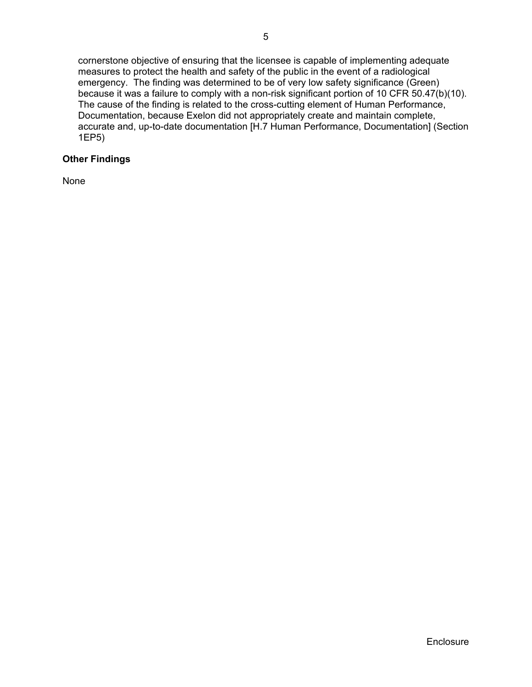cornerstone objective of ensuring that the licensee is capable of implementing adequate measures to protect the health and safety of the public in the event of a radiological emergency. The finding was determined to be of very low safety significance (Green) because it was a failure to comply with a non-risk significant portion of 10 CFR 50.47(b)(10). The cause of the finding is related to the cross-cutting element of Human Performance, Documentation, because Exelon did not appropriately create and maintain complete, accurate and, up-to-date documentation [H.7 Human Performance, Documentation] (Section 1EP5)

## **Other Findings**

None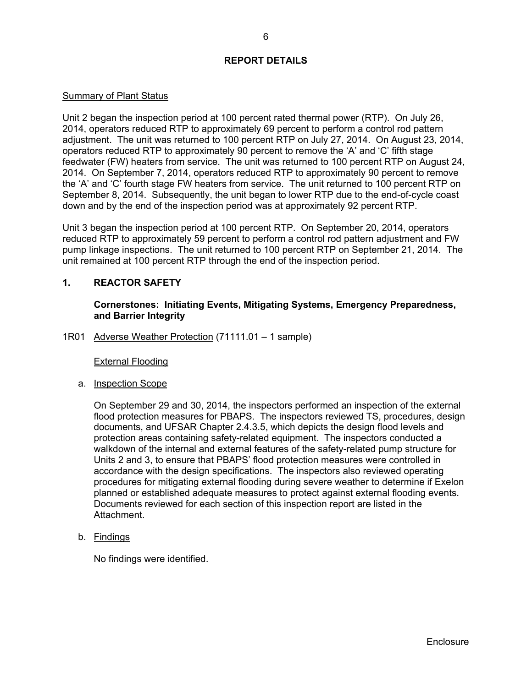### **REPORT DETAILS**

#### Summary of Plant Status

Unit 2 began the inspection period at 100 percent rated thermal power (RTP). On July 26, 2014, operators reduced RTP to approximately 69 percent to perform a control rod pattern adjustment. The unit was returned to 100 percent RTP on July 27, 2014. On August 23, 2014, operators reduced RTP to approximately 90 percent to remove the 'A' and 'C' fifth stage feedwater (FW) heaters from service. The unit was returned to 100 percent RTP on August 24, 2014. On September 7, 2014, operators reduced RTP to approximately 90 percent to remove the 'A' and 'C' fourth stage FW heaters from service. The unit returned to 100 percent RTP on September 8, 2014. Subsequently, the unit began to lower RTP due to the end-of-cycle coast down and by the end of the inspection period was at approximately 92 percent RTP.

Unit 3 began the inspection period at 100 percent RTP. On September 20, 2014, operators reduced RTP to approximately 59 percent to perform a control rod pattern adjustment and FW pump linkage inspections. The unit returned to 100 percent RTP on September 21, 2014. The unit remained at 100 percent RTP through the end of the inspection period.

### **1. REACTOR SAFETY**

**Cornerstones: Initiating Events, Mitigating Systems, Emergency Preparedness, and Barrier Integrity** 

1R01 Adverse Weather Protection (71111.01 – 1 sample)

External Flooding

a. Inspection Scope

On September 29 and 30, 2014, the inspectors performed an inspection of the external flood protection measures for PBAPS. The inspectors reviewed TS, procedures, design documents, and UFSAR Chapter 2.4.3.5, which depicts the design flood levels and protection areas containing safety-related equipment. The inspectors conducted a walkdown of the internal and external features of the safety-related pump structure for Units 2 and 3, to ensure that PBAPS' flood protection measures were controlled in accordance with the design specifications. The inspectors also reviewed operating procedures for mitigating external flooding during severe weather to determine if Exelon planned or established adequate measures to protect against external flooding events. Documents reviewed for each section of this inspection report are listed in the Attachment.

b. Findings

No findings were identified.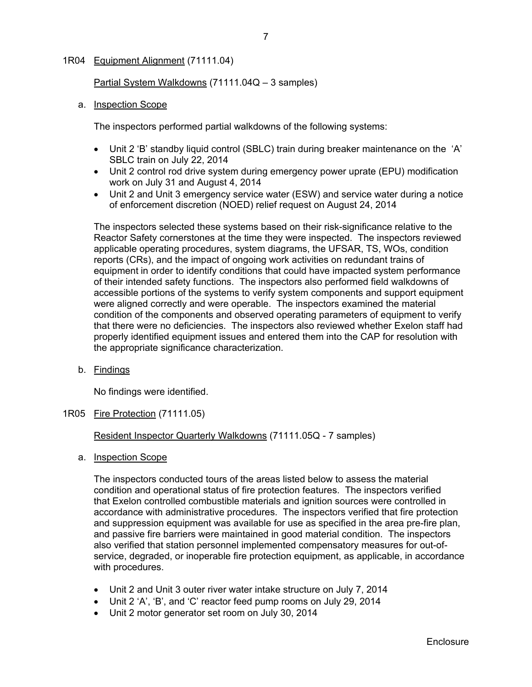### 1R04 Equipment Alignment (71111.04)

Partial System Walkdowns (71111.04Q – 3 samples)

a. **Inspection Scope** 

The inspectors performed partial walkdowns of the following systems:

- Unit 2 'B' standby liquid control (SBLC) train during breaker maintenance on the 'A' SBLC train on July 22, 2014
- Unit 2 control rod drive system during emergency power uprate (EPU) modification work on July 31 and August 4, 2014
- Unit 2 and Unit 3 emergency service water (ESW) and service water during a notice of enforcement discretion (NOED) relief request on August 24, 2014

The inspectors selected these systems based on their risk-significance relative to the Reactor Safety cornerstones at the time they were inspected. The inspectors reviewed applicable operating procedures, system diagrams, the UFSAR, TS, WOs, condition reports (CRs), and the impact of ongoing work activities on redundant trains of equipment in order to identify conditions that could have impacted system performance of their intended safety functions. The inspectors also performed field walkdowns of accessible portions of the systems to verify system components and support equipment were aligned correctly and were operable. The inspectors examined the material condition of the components and observed operating parameters of equipment to verify that there were no deficiencies. The inspectors also reviewed whether Exelon staff had properly identified equipment issues and entered them into the CAP for resolution with the appropriate significance characterization.

b. Findings

No findings were identified.

1R05 Fire Protection (71111.05)

Resident Inspector Quarterly Walkdowns (71111.05Q - 7 samples)

a. Inspection Scope

The inspectors conducted tours of the areas listed below to assess the material condition and operational status of fire protection features. The inspectors verified that Exelon controlled combustible materials and ignition sources were controlled in accordance with administrative procedures. The inspectors verified that fire protection and suppression equipment was available for use as specified in the area pre-fire plan, and passive fire barriers were maintained in good material condition. The inspectors also verified that station personnel implemented compensatory measures for out-ofservice, degraded, or inoperable fire protection equipment, as applicable, in accordance with procedures.

- Unit 2 and Unit 3 outer river water intake structure on July 7, 2014
- Unit 2 'A', 'B', and 'C' reactor feed pump rooms on July 29, 2014
- Unit 2 motor generator set room on July 30, 2014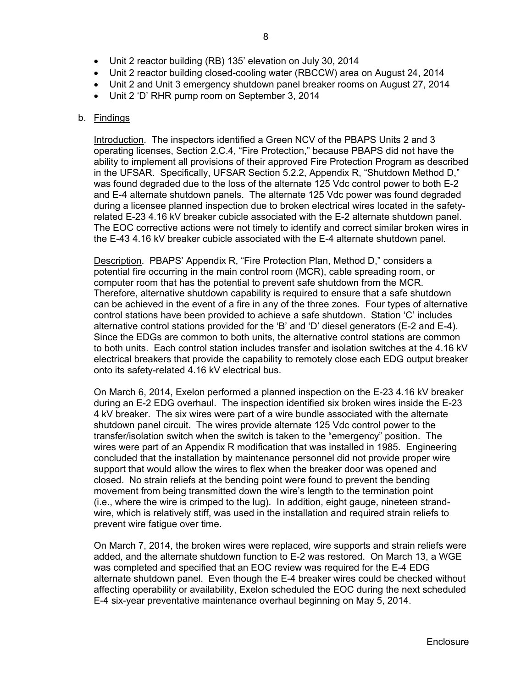- Unit 2 reactor building (RB) 135' elevation on July 30, 2014
- Unit 2 reactor building closed-cooling water (RBCCW) area on August 24, 2014
- Unit 2 and Unit 3 emergency shutdown panel breaker rooms on August 27, 2014
- Unit 2 'D' RHR pump room on September 3, 2014

#### b. Findings

Introduction. The inspectors identified a Green NCV of the PBAPS Units 2 and 3 operating licenses, Section 2.C.4, "Fire Protection," because PBAPS did not have the ability to implement all provisions of their approved Fire Protection Program as described in the UFSAR. Specifically, UFSAR Section 5.2.2, Appendix R, "Shutdown Method D," was found degraded due to the loss of the alternate 125 Vdc control power to both E-2 and E-4 alternate shutdown panels. The alternate 125 Vdc power was found degraded during a licensee planned inspection due to broken electrical wires located in the safetyrelated E-23 4.16 kV breaker cubicle associated with the E-2 alternate shutdown panel. The EOC corrective actions were not timely to identify and correct similar broken wires in the E-43 4.16 kV breaker cubicle associated with the E-4 alternate shutdown panel.

Description. PBAPS' Appendix R, "Fire Protection Plan, Method D," considers a potential fire occurring in the main control room (MCR), cable spreading room, or computer room that has the potential to prevent safe shutdown from the MCR. Therefore, alternative shutdown capability is required to ensure that a safe shutdown can be achieved in the event of a fire in any of the three zones. Four types of alternative control stations have been provided to achieve a safe shutdown. Station 'C' includes alternative control stations provided for the 'B' and 'D' diesel generators (E-2 and E-4). Since the EDGs are common to both units, the alternative control stations are common to both units. Each control station includes transfer and isolation switches at the 4.16 kV electrical breakers that provide the capability to remotely close each EDG output breaker onto its safety-related 4.16 kV electrical bus.

On March 6, 2014, Exelon performed a planned inspection on the E-23 4.16 kV breaker during an E-2 EDG overhaul. The inspection identified six broken wires inside the E-23 4 kV breaker. The six wires were part of a wire bundle associated with the alternate shutdown panel circuit. The wires provide alternate 125 Vdc control power to the transfer/isolation switch when the switch is taken to the "emergency" position. The wires were part of an Appendix R modification that was installed in 1985. Engineering concluded that the installation by maintenance personnel did not provide proper wire support that would allow the wires to flex when the breaker door was opened and closed. No strain reliefs at the bending point were found to prevent the bending movement from being transmitted down the wire's length to the termination point (i.e., where the wire is crimped to the lug). In addition, eight gauge, nineteen strandwire, which is relatively stiff, was used in the installation and required strain reliefs to prevent wire fatigue over time.

On March 7, 2014, the broken wires were replaced, wire supports and strain reliefs were added, and the alternate shutdown function to E-2 was restored. On March 13, a WGE was completed and specified that an EOC review was required for the E-4 EDG alternate shutdown panel. Even though the E-4 breaker wires could be checked without affecting operability or availability, Exelon scheduled the EOC during the next scheduled E-4 six-year preventative maintenance overhaul beginning on May 5, 2014.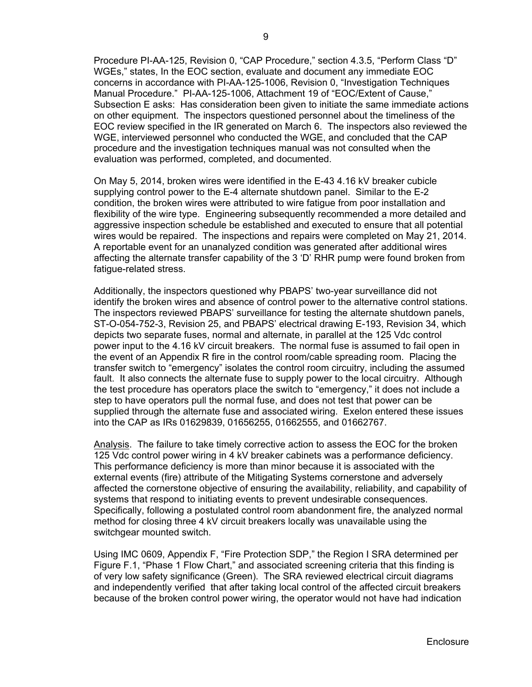Procedure PI-AA-125, Revision 0, "CAP Procedure," section 4.3.5, "Perform Class "D" WGEs," states, In the EOC section, evaluate and document any immediate EOC concerns in accordance with PI-AA-125-1006, Revision 0, "Investigation Techniques Manual Procedure." PI-AA-125-1006, Attachment 19 of "EOC/Extent of Cause," Subsection E asks: Has consideration been given to initiate the same immediate actions on other equipment. The inspectors questioned personnel about the timeliness of the EOC review specified in the IR generated on March 6. The inspectors also reviewed the WGE, interviewed personnel who conducted the WGE, and concluded that the CAP procedure and the investigation techniques manual was not consulted when the evaluation was performed, completed, and documented.

On May 5, 2014, broken wires were identified in the E-43 4.16 kV breaker cubicle supplying control power to the E-4 alternate shutdown panel. Similar to the E-2 condition, the broken wires were attributed to wire fatigue from poor installation and flexibility of the wire type. Engineering subsequently recommended a more detailed and aggressive inspection schedule be established and executed to ensure that all potential wires would be repaired. The inspections and repairs were completed on May 21, 2014. A reportable event for an unanalyzed condition was generated after additional wires affecting the alternate transfer capability of the 3 'D' RHR pump were found broken from fatigue-related stress.

Additionally, the inspectors questioned why PBAPS' two-year surveillance did not identify the broken wires and absence of control power to the alternative control stations. The inspectors reviewed PBAPS' surveillance for testing the alternate shutdown panels, ST-O-054-752-3, Revision 25, and PBAPS' electrical drawing E-193, Revision 34, which depicts two separate fuses, normal and alternate, in parallel at the 125 Vdc control power input to the 4.16 kV circuit breakers. The normal fuse is assumed to fail open in the event of an Appendix R fire in the control room/cable spreading room. Placing the transfer switch to "emergency" isolates the control room circuitry, including the assumed fault. It also connects the alternate fuse to supply power to the local circuitry. Although the test procedure has operators place the switch to "emergency," it does not include a step to have operators pull the normal fuse, and does not test that power can be supplied through the alternate fuse and associated wiring. Exelon entered these issues into the CAP as IRs 01629839, 01656255, 01662555, and 01662767.

Analysis. The failure to take timely corrective action to assess the EOC for the broken 125 Vdc control power wiring in 4 kV breaker cabinets was a performance deficiency. This performance deficiency is more than minor because it is associated with the external events (fire) attribute of the Mitigating Systems cornerstone and adversely affected the cornerstone objective of ensuring the availability, reliability, and capability of systems that respond to initiating events to prevent undesirable consequences. Specifically, following a postulated control room abandonment fire, the analyzed normal method for closing three 4 kV circuit breakers locally was unavailable using the switchgear mounted switch.

Using IMC 0609, Appendix F, "Fire Protection SDP," the Region I SRA determined per Figure F.1, "Phase 1 Flow Chart," and associated screening criteria that this finding is of very low safety significance (Green). The SRA reviewed electrical circuit diagrams and independently verified that after taking local control of the affected circuit breakers because of the broken control power wiring, the operator would not have had indication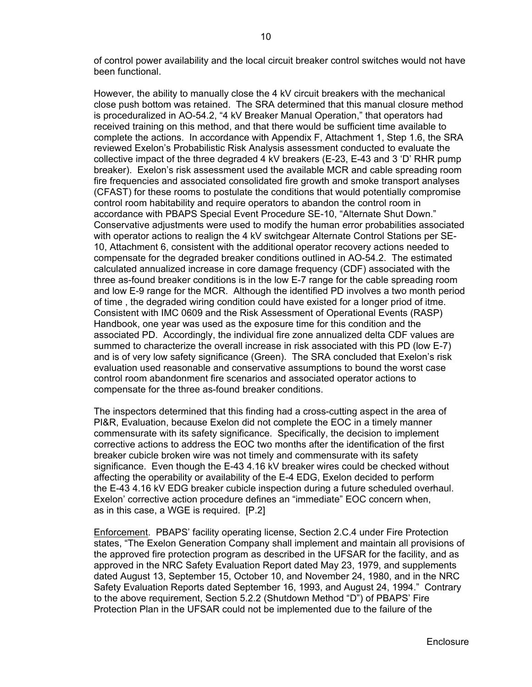of control power availability and the local circuit breaker control switches would not have been functional.

However, the ability to manually close the 4 kV circuit breakers with the mechanical close push bottom was retained. The SRA determined that this manual closure method is proceduralized in AO-54.2, "4 kV Breaker Manual Operation," that operators had received training on this method, and that there would be sufficient time available to complete the actions. In accordance with Appendix F, Attachment 1, Step 1.6, the SRA reviewed Exelon's Probabilistic Risk Analysis assessment conducted to evaluate the collective impact of the three degraded 4 kV breakers (E-23, E-43 and 3 'D' RHR pump breaker). Exelon's risk assessment used the available MCR and cable spreading room fire frequencies and associated consolidated fire growth and smoke transport analyses (CFAST) for these rooms to postulate the conditions that would potentially compromise control room habitability and require operators to abandon the control room in accordance with PBAPS Special Event Procedure SE-10, "Alternate Shut Down." Conservative adjustments were used to modify the human error probabilities associated with operator actions to realign the 4 kV switchgear Alternate Control Stations per SE-10, Attachment 6, consistent with the additional operator recovery actions needed to compensate for the degraded breaker conditions outlined in AO-54.2. The estimated calculated annualized increase in core damage frequency (CDF) associated with the three as-found breaker conditions is in the low E-7 range for the cable spreading room and low E-9 range for the MCR. Although the identified PD involves a two month period of time , the degraded wiring condition could have existed for a longer priod of itme. Consistent with IMC 0609 and the Risk Assessment of Operational Events (RASP) Handbook, one year was used as the exposure time for this condition and the associated PD. Accordingly, the individual fire zone annualized delta CDF values are summed to characterize the overall increase in risk associated with this PD (low E-7) and is of very low safety significance (Green). The SRA concluded that Exelon's risk evaluation used reasonable and conservative assumptions to bound the worst case control room abandonment fire scenarios and associated operator actions to compensate for the three as-found breaker conditions.

The inspectors determined that this finding had a cross-cutting aspect in the area of PI&R, Evaluation, because Exelon did not complete the EOC in a timely manner commensurate with its safety significance. Specifically, the decision to implement corrective actions to address the EOC two months after the identification of the first breaker cubicle broken wire was not timely and commensurate with its safety significance. Even though the E-43 4.16 kV breaker wires could be checked without affecting the operability or availability of the E-4 EDG, Exelon decided to perform the E-43 4.16 kV EDG breaker cubicle inspection during a future scheduled overhaul. Exelon' corrective action procedure defines an "immediate" EOC concern when, as in this case, a WGE is required. [P.2]

Enforcement. PBAPS' facility operating license, Section 2.C.4 under Fire Protection states, "The Exelon Generation Company shall implement and maintain all provisions of the approved fire protection program as described in the UFSAR for the facility, and as approved in the NRC Safety Evaluation Report dated May 23, 1979, and supplements dated August 13, September 15, October 10, and November 24, 1980, and in the NRC Safety Evaluation Reports dated September 16, 1993, and August 24, 1994." Contrary to the above requirement, Section 5.2.2 (Shutdown Method "D") of PBAPS' Fire Protection Plan in the UFSAR could not be implemented due to the failure of the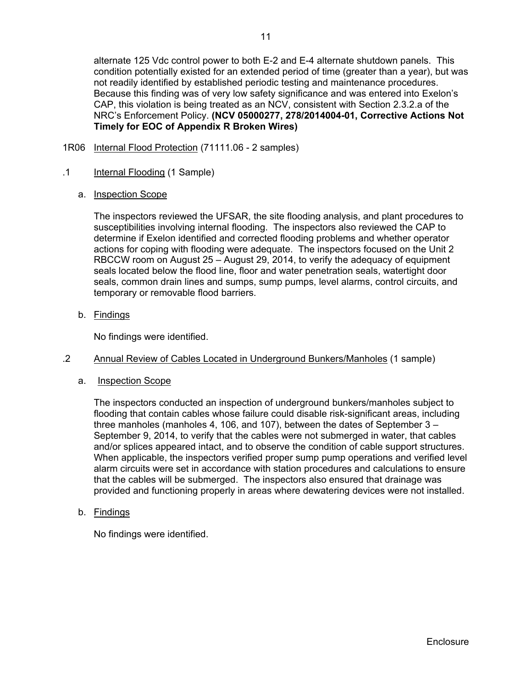alternate 125 Vdc control power to both E-2 and E-4 alternate shutdown panels. This condition potentially existed for an extended period of time (greater than a year), but was not readily identified by established periodic testing and maintenance procedures. Because this finding was of very low safety significance and was entered into Exelon's CAP, this violation is being treated as an NCV, consistent with Section 2.3.2.a of the NRC's Enforcement Policy. **(NCV 05000277, 278/2014004-01, Corrective Actions Not Timely for EOC of Appendix R Broken Wires)**

1R06 Internal Flood Protection (71111.06 - 2 samples)

### .1 Internal Flooding (1 Sample)

a. Inspection Scope

The inspectors reviewed the UFSAR, the site flooding analysis, and plant procedures to susceptibilities involving internal flooding. The inspectors also reviewed the CAP to determine if Exelon identified and corrected flooding problems and whether operator actions for coping with flooding were adequate. The inspectors focused on the Unit 2 RBCCW room on August 25 – August 29, 2014, to verify the adequacy of equipment seals located below the flood line, floor and water penetration seals, watertight door seals, common drain lines and sumps, sump pumps, level alarms, control circuits, and temporary or removable flood barriers.

b. Findings

No findings were identified.

### .2 Annual Review of Cables Located in Underground Bunkers/Manholes (1 sample)

a. Inspection Scope

The inspectors conducted an inspection of underground bunkers/manholes subject to flooding that contain cables whose failure could disable risk-significant areas, including three manholes (manholes 4, 106, and 107), between the dates of September 3 – September 9, 2014, to verify that the cables were not submerged in water, that cables and/or splices appeared intact, and to observe the condition of cable support structures. When applicable, the inspectors verified proper sump pump operations and verified level alarm circuits were set in accordance with station procedures and calculations to ensure that the cables will be submerged. The inspectors also ensured that drainage was provided and functioning properly in areas where dewatering devices were not installed.

b. Findings

No findings were identified.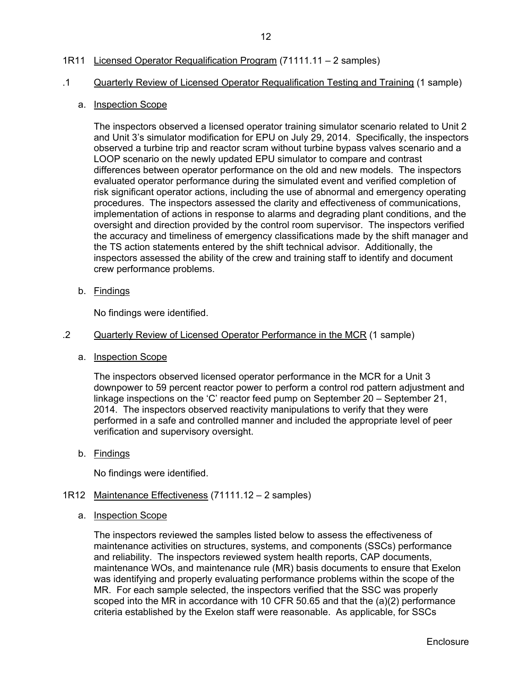## 1R11 Licensed Operator Requalification Program (71111.11 – 2 samples)

#### .1 Quarterly Review of Licensed Operator Requalification Testing and Training (1 sample)

#### a. **Inspection Scope**

The inspectors observed a licensed operator training simulator scenario related to Unit 2 and Unit 3's simulator modification for EPU on July 29, 2014. Specifically, the inspectors observed a turbine trip and reactor scram without turbine bypass valves scenario and a LOOP scenario on the newly updated EPU simulator to compare and contrast differences between operator performance on the old and new models. The inspectors evaluated operator performance during the simulated event and verified completion of risk significant operator actions, including the use of abnormal and emergency operating procedures. The inspectors assessed the clarity and effectiveness of communications, implementation of actions in response to alarms and degrading plant conditions, and the oversight and direction provided by the control room supervisor. The inspectors verified the accuracy and timeliness of emergency classifications made by the shift manager and the TS action statements entered by the shift technical advisor. Additionally, the inspectors assessed the ability of the crew and training staff to identify and document crew performance problems.

b. Findings

No findings were identified.

#### .2 Quarterly Review of Licensed Operator Performance in the MCR (1 sample)

a. Inspection Scope

The inspectors observed licensed operator performance in the MCR for a Unit 3 downpower to 59 percent reactor power to perform a control rod pattern adjustment and linkage inspections on the 'C' reactor feed pump on September 20 – September 21, 2014. The inspectors observed reactivity manipulations to verify that they were performed in a safe and controlled manner and included the appropriate level of peer verification and supervisory oversight.

b. Findings

No findings were identified.

#### 1R12 Maintenance Effectiveness (71111.12 – 2 samples)

a. Inspection Scope

The inspectors reviewed the samples listed below to assess the effectiveness of maintenance activities on structures, systems, and components (SSCs) performance and reliability. The inspectors reviewed system health reports, CAP documents, maintenance WOs, and maintenance rule (MR) basis documents to ensure that Exelon was identifying and properly evaluating performance problems within the scope of the MR. For each sample selected, the inspectors verified that the SSC was properly scoped into the MR in accordance with 10 CFR 50.65 and that the (a)(2) performance criteria established by the Exelon staff were reasonable. As applicable, for SSCs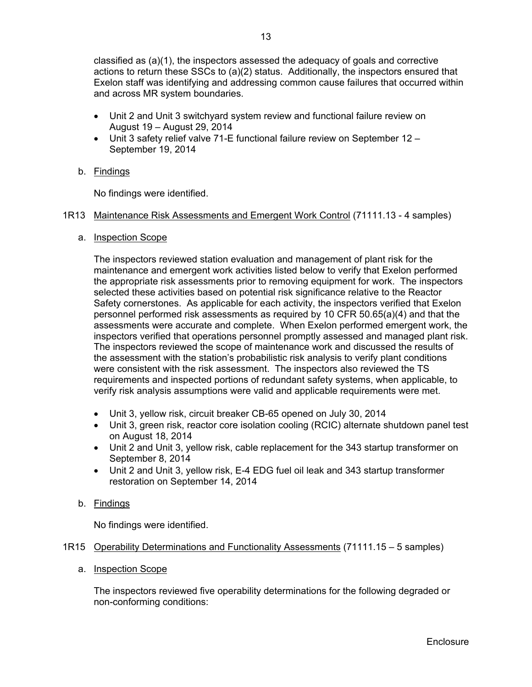classified as (a)(1), the inspectors assessed the adequacy of goals and corrective actions to return these SSCs to (a)(2) status. Additionally, the inspectors ensured that Exelon staff was identifying and addressing common cause failures that occurred within and across MR system boundaries.

- Unit 2 and Unit 3 switchyard system review and functional failure review on August 19 – August 29, 2014
- Unit 3 safety relief valve 71-E functional failure review on September 12 September 19, 2014
- b. Findings

No findings were identified.

#### 1R13 Maintenance Risk Assessments and Emergent Work Control (71111.13 - 4 samples)

a. Inspection Scope

The inspectors reviewed station evaluation and management of plant risk for the maintenance and emergent work activities listed below to verify that Exelon performed the appropriate risk assessments prior to removing equipment for work. The inspectors selected these activities based on potential risk significance relative to the Reactor Safety cornerstones. As applicable for each activity, the inspectors verified that Exelon personnel performed risk assessments as required by 10 CFR 50.65(a)(4) and that the assessments were accurate and complete. When Exelon performed emergent work, the inspectors verified that operations personnel promptly assessed and managed plant risk. The inspectors reviewed the scope of maintenance work and discussed the results of the assessment with the station's probabilistic risk analysis to verify plant conditions were consistent with the risk assessment. The inspectors also reviewed the TS requirements and inspected portions of redundant safety systems, when applicable, to verify risk analysis assumptions were valid and applicable requirements were met.

- Unit 3, yellow risk, circuit breaker CB-65 opened on July 30, 2014
- Unit 3, green risk, reactor core isolation cooling (RCIC) alternate shutdown panel test on August 18, 2014
- Unit 2 and Unit 3, yellow risk, cable replacement for the 343 startup transformer on September 8, 2014
- Unit 2 and Unit 3, yellow risk, E-4 EDG fuel oil leak and 343 startup transformer restoration on September 14, 2014
- b. Findings

No findings were identified.

#### 1R15 Operability Determinations and Functionality Assessments (71111.15 – 5 samples)

a. Inspection Scope

The inspectors reviewed five operability determinations for the following degraded or non-conforming conditions: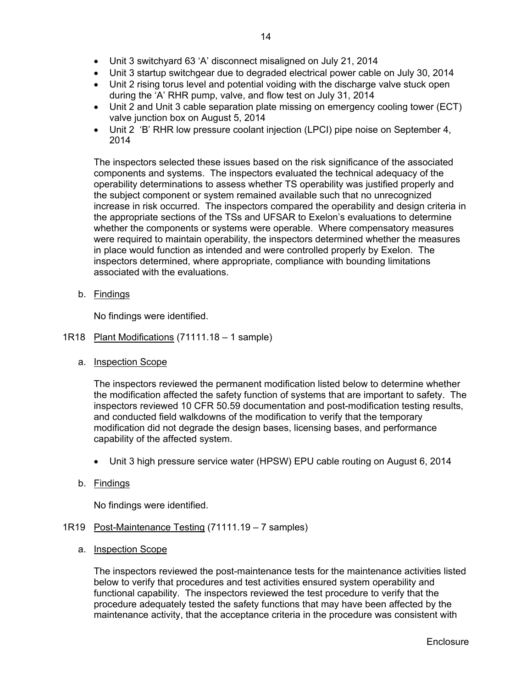- Unit 3 switchyard 63 'A' disconnect misaligned on July 21, 2014
- Unit 3 startup switchgear due to degraded electrical power cable on July 30, 2014
- Unit 2 rising torus level and potential voiding with the discharge valve stuck open during the 'A' RHR pump, valve, and flow test on July 31, 2014
- Unit 2 and Unit 3 cable separation plate missing on emergency cooling tower (ECT) valve junction box on August 5, 2014
- Unit 2 'B' RHR low pressure coolant injection (LPCI) pipe noise on September 4, 2014

The inspectors selected these issues based on the risk significance of the associated components and systems. The inspectors evaluated the technical adequacy of the operability determinations to assess whether TS operability was justified properly and the subject component or system remained available such that no unrecognized increase in risk occurred. The inspectors compared the operability and design criteria in the appropriate sections of the TSs and UFSAR to Exelon's evaluations to determine whether the components or systems were operable. Where compensatory measures were required to maintain operability, the inspectors determined whether the measures in place would function as intended and were controlled properly by Exelon. The inspectors determined, where appropriate, compliance with bounding limitations associated with the evaluations.

b. Findings

No findings were identified.

- 1R18 Plant Modifications (71111.18 1 sample)
	- a. Inspection Scope

The inspectors reviewed the permanent modification listed below to determine whether the modification affected the safety function of systems that are important to safety. The inspectors reviewed 10 CFR 50.59 documentation and post-modification testing results, and conducted field walkdowns of the modification to verify that the temporary modification did not degrade the design bases, licensing bases, and performance capability of the affected system.

- Unit 3 high pressure service water (HPSW) EPU cable routing on August 6, 2014
- b. Findings

No findings were identified.

- 1R19 Post-Maintenance Testing (71111.19 7 samples)
	- a. Inspection Scope

The inspectors reviewed the post-maintenance tests for the maintenance activities listed below to verify that procedures and test activities ensured system operability and functional capability. The inspectors reviewed the test procedure to verify that the procedure adequately tested the safety functions that may have been affected by the maintenance activity, that the acceptance criteria in the procedure was consistent with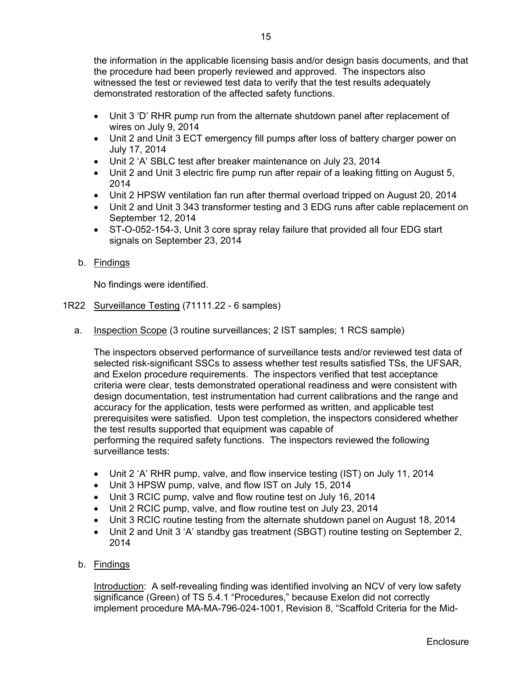the information in the applicable licensing basis and/or design basis documents, and that the procedure had been properly reviewed and approved. The inspectors also witnessed the test or reviewed test data to verify that the test results adequately demonstrated restoration of the affected safety functions.

- Unit 3 'D' RHR pump run from the alternate shutdown panel after replacement of wires on July 9, 2014
- Unit 2 and Unit 3 ECT emergency fill pumps after loss of battery charger power on July 17, 2014
- Unit 2 'A' SBLC test after breaker maintenance on July 23, 2014
- Unit 2 and Unit 3 electric fire pump run after repair of a leaking fitting on August 5, 2014
- Unit 2 HPSW ventilation fan run after thermal overload tripped on August 20, 2014
- Unit 2 and Unit 3 343 transformer testing and 3 EDG runs after cable replacement on September 12, 2014
- ST-O-052-154-3, Unit 3 core spray relay failure that provided all four EDG start signals on September 23, 2014
- b. Findings

No findings were identified.

- 1R22 Surveillance Testing (71111.22 6 samples)
	- a. Inspection Scope (3 routine surveillances; 2 IST samples; 1 RCS sample)

The inspectors observed performance of surveillance tests and/or reviewed test data of selected risk-significant SSCs to assess whether test results satisfied TSs, the UFSAR, and Exelon procedure requirements. The inspectors verified that test acceptance criteria were clear, tests demonstrated operational readiness and were consistent with design documentation, test instrumentation had current calibrations and the range and accuracy for the application, tests were performed as written, and applicable test prerequisites were satisfied. Upon test completion, the inspectors considered whether the test results supported that equipment was capable of performing the required safety functions. The inspectors reviewed the following surveillance tests:

- Unit 2 'A' RHR pump, valve, and flow inservice testing (IST) on July 11, 2014
- Unit 3 HPSW pump, valve, and flow IST on July 15, 2014
- Unit 3 RCIC pump, valve and flow routine test on July 16, 2014
- Unit 2 RCIC pump, valve, and flow routine test on July 23, 2014
- Unit 3 RCIC routine testing from the alternate shutdown panel on August 18, 2014
- Unit 2 and Unit 3 'A' standby gas treatment (SBGT) routine testing on September 2, 2014
- b. Findings

Introduction: A self-revealing finding was identified involving an NCV of very low safety significance (Green) of TS 5.4.1 "Procedures," because Exelon did not correctly implement procedure MA-MA-796-024-1001, Revision 8, "Scaffold Criteria for the Mid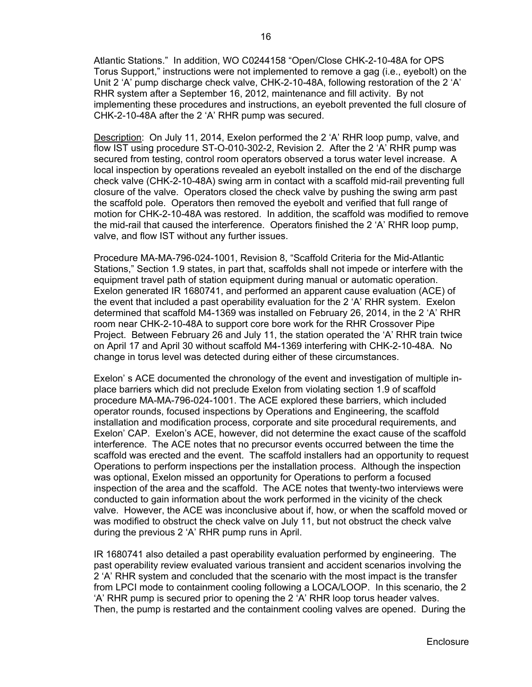Atlantic Stations." In addition, WO C0244158 "Open/Close CHK-2-10-48A for OPS Torus Support," instructions were not implemented to remove a gag (i.e., eyebolt) on the Unit 2 'A' pump discharge check valve, CHK-2-10-48A, following restoration of the 2 'A' RHR system after a September 16, 2012, maintenance and fill activity. By not implementing these procedures and instructions, an eyebolt prevented the full closure of CHK-2-10-48A after the 2 'A' RHR pump was secured.

Description: On July 11, 2014, Exelon performed the 2 'A' RHR loop pump, valve, and flow IST using procedure ST-O-010-302-2, Revision 2. After the 2 'A' RHR pump was secured from testing, control room operators observed a torus water level increase. A local inspection by operations revealed an eyebolt installed on the end of the discharge check valve (CHK-2-10-48A) swing arm in contact with a scaffold mid-rail preventing full closure of the valve. Operators closed the check valve by pushing the swing arm past the scaffold pole. Operators then removed the eyebolt and verified that full range of motion for CHK-2-10-48A was restored. In addition, the scaffold was modified to remove the mid-rail that caused the interference. Operators finished the 2 'A' RHR loop pump, valve, and flow IST without any further issues.

Procedure MA-MA-796-024-1001, Revision 8, "Scaffold Criteria for the Mid-Atlantic Stations," Section 1.9 states, in part that, scaffolds shall not impede or interfere with the equipment travel path of station equipment during manual or automatic operation. Exelon generated IR 1680741, and performed an apparent cause evaluation (ACE) of the event that included a past operability evaluation for the 2 'A' RHR system. Exelon determined that scaffold M4-1369 was installed on February 26, 2014, in the 2 'A' RHR room near CHK-2-10-48A to support core bore work for the RHR Crossover Pipe Project. Between February 26 and July 11, the station operated the 'A' RHR train twice on April 17 and April 30 without scaffold M4-1369 interfering with CHK-2-10-48A. No change in torus level was detected during either of these circumstances.

Exelon' s ACE documented the chronology of the event and investigation of multiple inplace barriers which did not preclude Exelon from violating section 1.9 of scaffold procedure MA-MA-796-024-1001. The ACE explored these barriers, which included operator rounds, focused inspections by Operations and Engineering, the scaffold installation and modification process, corporate and site procedural requirements, and Exelon' CAP. Exelon's ACE, however, did not determine the exact cause of the scaffold interference. The ACE notes that no precursor events occurred between the time the scaffold was erected and the event. The scaffold installers had an opportunity to request Operations to perform inspections per the installation process. Although the inspection was optional, Exelon missed an opportunity for Operations to perform a focused inspection of the area and the scaffold. The ACE notes that twenty-two interviews were conducted to gain information about the work performed in the vicinity of the check valve. However, the ACE was inconclusive about if, how, or when the scaffold moved or was modified to obstruct the check valve on July 11, but not obstruct the check valve during the previous 2 'A' RHR pump runs in April.

IR 1680741 also detailed a past operability evaluation performed by engineering. The past operability review evaluated various transient and accident scenarios involving the 2 'A' RHR system and concluded that the scenario with the most impact is the transfer from LPCI mode to containment cooling following a LOCA/LOOP. In this scenario, the 2 'A' RHR pump is secured prior to opening the 2 'A' RHR loop torus header valves. Then, the pump is restarted and the containment cooling valves are opened. During the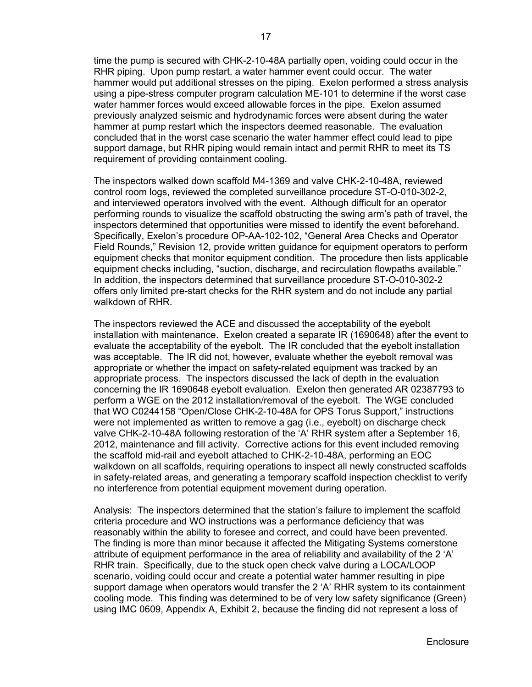time the pump is secured with CHK-2-10-48A partially open, voiding could occur in the RHR piping. Upon pump restart, a water hammer event could occur. The water hammer would put additional stresses on the piping. Exelon performed a stress analysis using a pipe-stress computer program calculation ME-101 to determine if the worst case water hammer forces would exceed allowable forces in the pipe. Exelon assumed previously analyzed seismic and hydrodynamic forces were absent during the water hammer at pump restart which the inspectors deemed reasonable.The evaluation concluded that in the worst case scenario the water hammer effect could lead to pipe support damage, but RHR piping would remain intact and permit RHR to meet its TS requirement of providing containment cooling.

The inspectors walked down scaffold M4-1369 and valve CHK-2-10-48A, reviewed control room logs, reviewed the completed surveillance procedure ST-O-010-302-2, and interviewed operators involved with the event. Although difficult for an operator performing rounds to visualize the scaffold obstructing the swing arm's path of travel, the inspectors determined that opportunities were missed to identify the event beforehand. Specifically, Exelon's procedure OP-AA-102-102, "General Area Checks and Operator Field Rounds," Revision 12, provide written guidance for equipment operators to perform equipment checks that monitor equipment condition. The procedure then lists applicable equipment checks including, "suction, discharge, and recirculation flowpaths available." In addition, the inspectors determined that surveillance procedure ST-O-010-302-2 offers only limited pre-start checks for the RHR system and do not include any partial walkdown of RHR.

The inspectors reviewed the ACE and discussed the acceptability of the eyebolt installation with maintenance. Exelon created a separate IR (1690648) after the event to evaluate the acceptability of the eyebolt. The IR concluded that the eyebolt installation was acceptable. The IR did not, however, evaluate whether the eyebolt removal was appropriate or whether the impact on safety-related equipment was tracked by an appropriate process. The inspectors discussed the lack of depth in the evaluation concerning the IR 1690648 eyebolt evaluation. Exelon then generated AR 02387793 to perform a WGE on the 2012 installation/removal of the eyebolt. The WGE concluded that WO C0244158 "Open/Close CHK-2-10-48A for OPS Torus Support," instructions were not implemented as written to remove a gag (i.e., eyebolt) on discharge check valve CHK-2-10-48A following restoration of the 'A' RHR system after a September 16, 2012, maintenance and fill activity. Corrective actions for this event included removing the scaffold mid-rail and eyebolt attached to CHK-2-10-48A, performing an EOC walkdown on all scaffolds, requiring operations to inspect all newly constructed scaffolds in safety-related areas, and generating a temporary scaffold inspection checklist to verify no interference from potential equipment movement during operation.

Analysis: The inspectors determined that the station's failure to implement the scaffold criteria procedure and WO instructions was a performance deficiency that was reasonably within the ability to foresee and correct, and could have been prevented. The finding is more than minor because it affected the Mitigating Systems cornerstone attribute of equipment performance in the area of reliability and availability of the 2 'A' RHR train. Specifically, due to the stuck open check valve during a LOCA/LOOP scenario, voiding could occur and create a potential water hammer resulting in pipe support damage when operators would transfer the 2 'A' RHR system to its containment cooling mode. This finding was determined to be of very low safety significance (Green) using IMC 0609, Appendix A, Exhibit 2, because the finding did not represent a loss of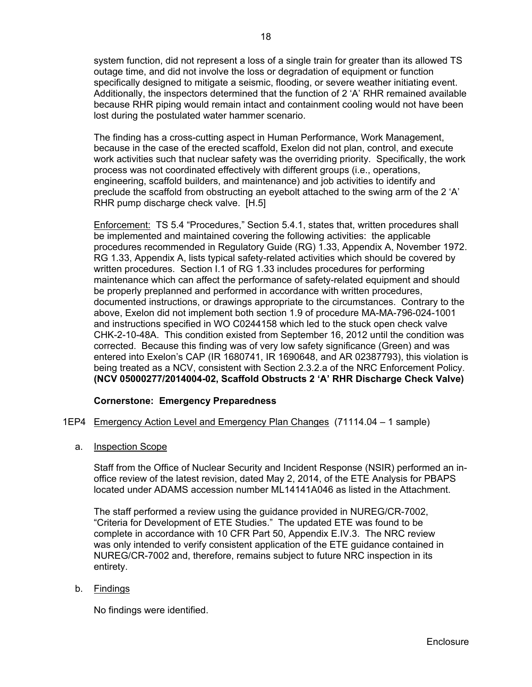system function, did not represent a loss of a single train for greater than its allowed TS outage time, and did not involve the loss or degradation of equipment or function specifically designed to mitigate a seismic, flooding, or severe weather initiating event. Additionally, the inspectors determined that the function of 2 'A' RHR remained available because RHR piping would remain intact and containment cooling would not have been lost during the postulated water hammer scenario.

The finding has a cross-cutting aspect in Human Performance, Work Management, because in the case of the erected scaffold, Exelon did not plan, control, and execute work activities such that nuclear safety was the overriding priority. Specifically, the work process was not coordinated effectively with different groups (i.e., operations, engineering, scaffold builders, and maintenance) and job activities to identify and preclude the scaffold from obstructing an eyebolt attached to the swing arm of the 2 'A' RHR pump discharge check valve. [H.5]

Enforcement: TS 5.4 "Procedures," Section 5.4.1, states that, written procedures shall be implemented and maintained covering the following activities: the applicable procedures recommended in Regulatory Guide (RG) 1.33, Appendix A, November 1972. RG 1.33, Appendix A, lists typical safety-related activities which should be covered by written procedures. Section I.1 of RG 1.33 includes procedures for performing maintenance which can affect the performance of safety-related equipment and should be properly preplanned and performed in accordance with written procedures, documented instructions, or drawings appropriate to the circumstances. Contrary to the above, Exelon did not implement both section 1.9 of procedure MA-MA-796-024-1001 and instructions specified in WO C0244158 which led to the stuck open check valve CHK-2-10-48A. This condition existed from September 16, 2012 until the condition was corrected. Because this finding was of very low safety significance (Green) and was entered into Exelon's CAP (IR 1680741, IR 1690648, and AR 02387793), this violation is being treated as a NCV, consistent with Section 2.3.2.a of the NRC Enforcement Policy. **(NCV 05000277/2014004-02, Scaffold Obstructs 2 'A' RHR Discharge Check Valve)** 

## **Cornerstone: Emergency Preparedness**

#### 1EP4 Emergency Action Level and Emergency Plan Changes (71114.04 – 1 sample)

a. Inspection Scope

Staff from the Office of Nuclear Security and Incident Response (NSIR) performed an inoffice review of the latest revision, dated May 2, 2014, of the ETE Analysis for PBAPS located under ADAMS accession number ML14141A046 as listed in the Attachment.

The staff performed a review using the guidance provided in NUREG/CR-7002, "Criteria for Development of ETE Studies." The updated ETE was found to be complete in accordance with 10 CFR Part 50, Appendix E.IV.3. The NRC review was only intended to verify consistent application of the ETE guidance contained in NUREG/CR-7002 and, therefore, remains subject to future NRC inspection in its entirety.

#### b. Findings

No findings were identified.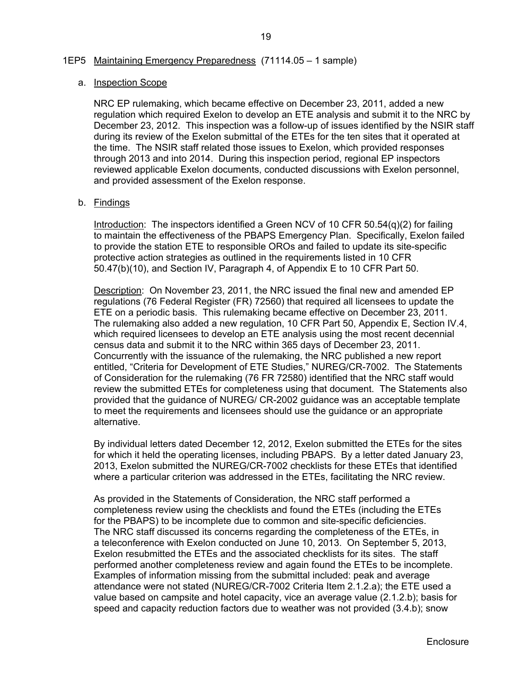#### 1EP5 Maintaining Emergency Preparedness (71114.05 – 1 sample)

#### a. Inspection Scope

NRC EP rulemaking, which became effective on December 23, 2011, added a new regulation which required Exelon to develop an ETE analysis and submit it to the NRC by December 23, 2012. This inspection was a follow-up of issues identified by the NSIR staff during its review of the Exelon submittal of the ETEs for the ten sites that it operated at the time. The NSIR staff related those issues to Exelon, which provided responses through 2013 and into 2014. During this inspection period, regional EP inspectors reviewed applicable Exelon documents, conducted discussions with Exelon personnel, and provided assessment of the Exelon response.

#### b. Findings

Introduction: The inspectors identified a Green NCV of 10 CFR 50.54(q)(2) for failing to maintain the effectiveness of the PBAPS Emergency Plan. Specifically, Exelon failed to provide the station ETE to responsible OROs and failed to update its site-specific protective action strategies as outlined in the requirements listed in 10 CFR 50.47(b)(10), and Section IV, Paragraph 4, of Appendix E to 10 CFR Part 50.

Description: On November 23, 2011, the NRC issued the final new and amended EP regulations (76 Federal Register (FR) 72560) that required all licensees to update the ETE on a periodic basis. This rulemaking became effective on December 23, 2011. The rulemaking also added a new regulation, 10 CFR Part 50, Appendix E, Section IV.4, which required licensees to develop an ETE analysis using the most recent decennial census data and submit it to the NRC within 365 days of December 23, 2011. Concurrently with the issuance of the rulemaking, the NRC published a new report entitled, "Criteria for Development of ETE Studies," NUREG/CR-7002. The Statements of Consideration for the rulemaking (76 FR 72580) identified that the NRC staff would review the submitted ETEs for completeness using that document. The Statements also provided that the guidance of NUREG/ CR-2002 guidance was an acceptable template to meet the requirements and licensees should use the guidance or an appropriate alternative.

By individual letters dated December 12, 2012, Exelon submitted the ETEs for the sites for which it held the operating licenses, including PBAPS. By a letter dated January 23, 2013, Exelon submitted the NUREG/CR-7002 checklists for these ETEs that identified where a particular criterion was addressed in the ETEs, facilitating the NRC review.

As provided in the Statements of Consideration, the NRC staff performed a completeness review using the checklists and found the ETEs (including the ETEs for the PBAPS) to be incomplete due to common and site-specific deficiencies. The NRC staff discussed its concerns regarding the completeness of the ETEs, in a teleconference with Exelon conducted on June 10, 2013. On September 5, 2013, Exelon resubmitted the ETEs and the associated checklists for its sites. The staff performed another completeness review and again found the ETEs to be incomplete. Examples of information missing from the submittal included: peak and average attendance were not stated (NUREG/CR-7002 Criteria Item 2.1.2.a); the ETE used a value based on campsite and hotel capacity, vice an average value (2.1.2.b); basis for speed and capacity reduction factors due to weather was not provided (3.4.b); snow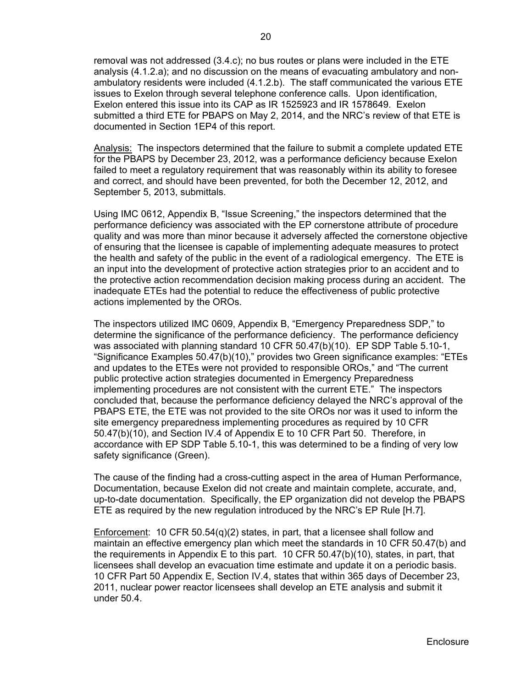removal was not addressed (3.4.c); no bus routes or plans were included in the ETE analysis (4.1.2.a); and no discussion on the means of evacuating ambulatory and nonambulatory residents were included (4.1.2.b). The staff communicated the various ETE issues to Exelon through several telephone conference calls. Upon identification, Exelon entered this issue into its CAP as IR 1525923 and IR 1578649. Exelon submitted a third ETE for PBAPS on May 2, 2014, and the NRC's review of that ETE is documented in Section 1EP4 of this report.

Analysis: The inspectors determined that the failure to submit a complete updated ETE for the PBAPS by December 23, 2012, was a performance deficiency because Exelon failed to meet a regulatory requirement that was reasonably within its ability to foresee and correct, and should have been prevented, for both the December 12, 2012, and September 5, 2013, submittals.

Using IMC 0612, Appendix B, "Issue Screening," the inspectors determined that the performance deficiency was associated with the EP cornerstone attribute of procedure quality and was more than minor because it adversely affected the cornerstone objective of ensuring that the licensee is capable of implementing adequate measures to protect the health and safety of the public in the event of a radiological emergency. The ETE is an input into the development of protective action strategies prior to an accident and to the protective action recommendation decision making process during an accident. The inadequate ETEs had the potential to reduce the effectiveness of public protective actions implemented by the OROs.

The inspectors utilized IMC 0609, Appendix B, "Emergency Preparedness SDP," to determine the significance of the performance deficiency. The performance deficiency was associated with planning standard 10 CFR 50.47(b)(10). EP SDP Table 5.10-1, "Significance Examples 50.47(b)(10)," provides two Green significance examples: "ETEs and updates to the ETEs were not provided to responsible OROs," and "The current public protective action strategies documented in Emergency Preparedness implementing procedures are not consistent with the current ETE." The inspectors concluded that, because the performance deficiency delayed the NRC's approval of the PBAPS ETE, the ETE was not provided to the site OROs nor was it used to inform the site emergency preparedness implementing procedures as required by 10 CFR 50.47(b)(10), and Section IV.4 of Appendix E to 10 CFR Part 50. Therefore, in accordance with EP SDP Table 5.10-1, this was determined to be a finding of very low safety significance (Green).

The cause of the finding had a cross-cutting aspect in the area of Human Performance, Documentation, because Exelon did not create and maintain complete, accurate, and, up-to-date documentation. Specifically, the EP organization did not develop the PBAPS ETE as required by the new regulation introduced by the NRC's EP Rule [H.7].

Enforcement: 10 CFR 50.54(q)(2) states, in part, that a licensee shall follow and maintain an effective emergency plan which meet the standards in 10 CFR 50.47(b) and the requirements in Appendix E to this part. 10 CFR 50.47(b)(10), states, in part, that licensees shall develop an evacuation time estimate and update it on a periodic basis. 10 CFR Part 50 Appendix E, Section IV.4, states that within 365 days of December 23, 2011, nuclear power reactor licensees shall develop an ETE analysis and submit it under 50.4.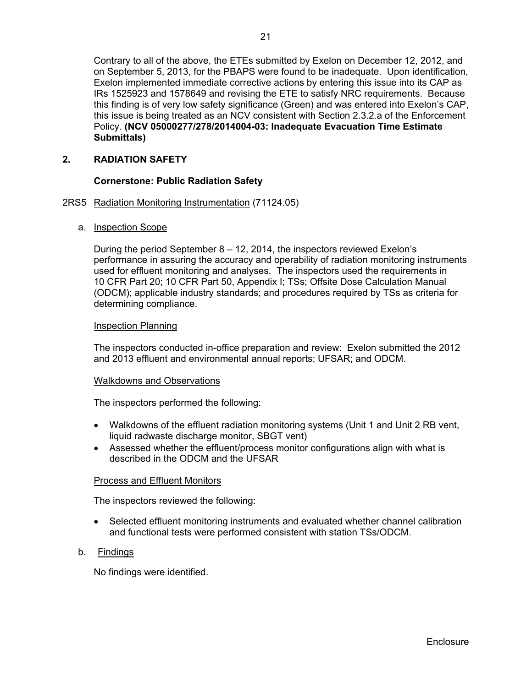Contrary to all of the above, the ETEs submitted by Exelon on December 12, 2012, and on September 5, 2013, for the PBAPS were found to be inadequate. Upon identification, Exelon implemented immediate corrective actions by entering this issue into its CAP as IRs 1525923 and 1578649 and revising the ETE to satisfy NRC requirements. Because this finding is of very low safety significance (Green) and was entered into Exelon's CAP, this issue is being treated as an NCV consistent with Section 2.3.2.a of the Enforcement Policy. **(NCV 05000277/278/2014004-03: Inadequate Evacuation Time Estimate Submittals)** 

## **2. RADIATION SAFETY**

### **Cornerstone: Public Radiation Safety**

#### 2RS5 Radiation Monitoring Instrumentation (71124.05)

a. Inspection Scope

During the period September 8 – 12, 2014, the inspectors reviewed Exelon's performance in assuring the accuracy and operability of radiation monitoring instruments used for effluent monitoring and analyses. The inspectors used the requirements in 10 CFR Part 20; 10 CFR Part 50, Appendix I; TSs; Offsite Dose Calculation Manual (ODCM); applicable industry standards; and procedures required by TSs as criteria for determining compliance.

#### Inspection Planning

The inspectors conducted in-office preparation and review: Exelon submitted the 2012 and 2013 effluent and environmental annual reports; UFSAR; and ODCM.

#### Walkdowns and Observations

The inspectors performed the following:

- Walkdowns of the effluent radiation monitoring systems (Unit 1 and Unit 2 RB vent, liquid radwaste discharge monitor, SBGT vent)
- Assessed whether the effluent/process monitor configurations align with what is described in the ODCM and the UFSAR

#### Process and Effluent Monitors

The inspectors reviewed the following:

- Selected effluent monitoring instruments and evaluated whether channel calibration and functional tests were performed consistent with station TSs/ODCM.
- b. Findings

No findings were identified.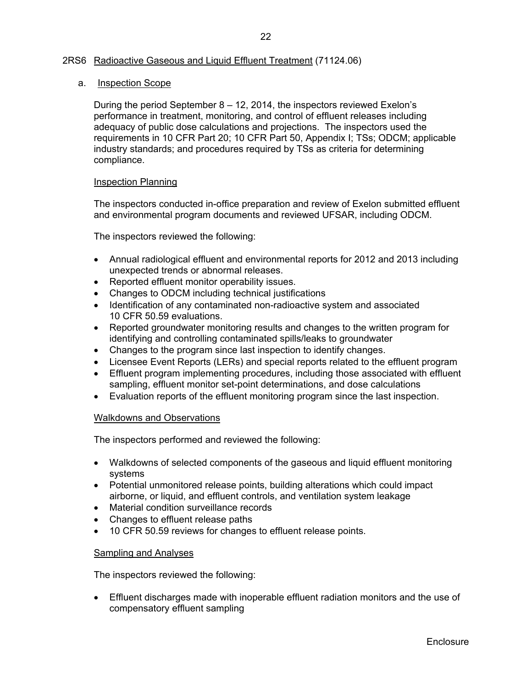### 2RS6 Radioactive Gaseous and Liquid Effluent Treatment (71124.06)

#### a. Inspection Scope

During the period September 8 – 12, 2014, the inspectors reviewed Exelon's performance in treatment, monitoring, and control of effluent releases including adequacy of public dose calculations and projections. The inspectors used the requirements in 10 CFR Part 20; 10 CFR Part 50, Appendix I; TSs; ODCM; applicable industry standards; and procedures required by TSs as criteria for determining compliance.

#### Inspection Planning

The inspectors conducted in-office preparation and review of Exelon submitted effluent and environmental program documents and reviewed UFSAR, including ODCM.

The inspectors reviewed the following:

- Annual radiological effluent and environmental reports for 2012 and 2013 including unexpected trends or abnormal releases.
- Reported effluent monitor operability issues.
- Changes to ODCM including technical justifications
- Identification of any contaminated non-radioactive system and associated 10 CFR 50.59 evaluations.
- Reported groundwater monitoring results and changes to the written program for identifying and controlling contaminated spills/leaks to groundwater
- Changes to the program since last inspection to identify changes.
- Licensee Event Reports (LERs) and special reports related to the effluent program
- Effluent program implementing procedures, including those associated with effluent sampling, effluent monitor set-point determinations, and dose calculations
- Evaluation reports of the effluent monitoring program since the last inspection.

#### Walkdowns and Observations

The inspectors performed and reviewed the following:

- Walkdowns of selected components of the gaseous and liquid effluent monitoring systems
- Potential unmonitored release points, building alterations which could impact airborne, or liquid, and effluent controls, and ventilation system leakage
- Material condition surveillance records
- Changes to effluent release paths
- 10 CFR 50.59 reviews for changes to effluent release points.

#### Sampling and Analyses

The inspectors reviewed the following:

 Effluent discharges made with inoperable effluent radiation monitors and the use of compensatory effluent sampling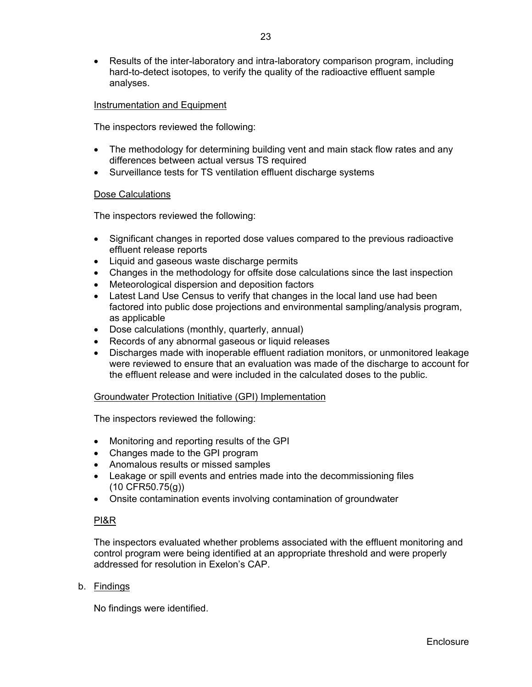• Results of the inter-laboratory and intra-laboratory comparison program, including hard-to-detect isotopes, to verify the quality of the radioactive effluent sample analyses.

### Instrumentation and Equipment

The inspectors reviewed the following:

- The methodology for determining building vent and main stack flow rates and any differences between actual versus TS required
- Surveillance tests for TS ventilation effluent discharge systems

#### Dose Calculations

The inspectors reviewed the following:

- Significant changes in reported dose values compared to the previous radioactive effluent release reports
- Liquid and gaseous waste discharge permits
- Changes in the methodology for offsite dose calculations since the last inspection
- Meteorological dispersion and deposition factors
- Latest Land Use Census to verify that changes in the local land use had been factored into public dose projections and environmental sampling/analysis program, as applicable
- Dose calculations (monthly, quarterly, annual)
- Records of any abnormal gaseous or liquid releases
- Discharges made with inoperable effluent radiation monitors, or unmonitored leakage were reviewed to ensure that an evaluation was made of the discharge to account for the effluent release and were included in the calculated doses to the public.

#### Groundwater Protection Initiative (GPI) Implementation

The inspectors reviewed the following:

- Monitoring and reporting results of the GPI
- Changes made to the GPI program
- Anomalous results or missed samples
- Leakage or spill events and entries made into the decommissioning files (10 CFR50.75(g))
- Onsite contamination events involving contamination of groundwater

#### PI&R

The inspectors evaluated whether problems associated with the effluent monitoring and control program were being identified at an appropriate threshold and were properly addressed for resolution in Exelon's CAP.

#### b. Findings

No findings were identified.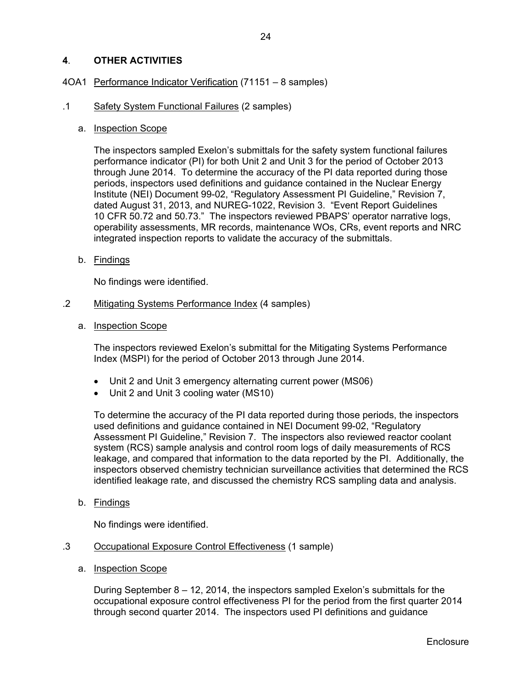## **4**. **OTHER ACTIVITIES**

#### 4OA1 Performance Indicator Verification (71151 – 8 samples)

#### .1 Safety System Functional Failures (2 samples)

a. Inspection Scope

The inspectors sampled Exelon's submittals for the safety system functional failures performance indicator (PI) for both Unit 2 and Unit 3 for the period of October 2013 through June 2014. To determine the accuracy of the PI data reported during those periods, inspectors used definitions and guidance contained in the Nuclear Energy Institute (NEI) Document 99-02, "Regulatory Assessment PI Guideline," Revision 7, dated August 31, 2013, and NUREG-1022, Revision 3. "Event Report Guidelines 10 CFR 50.72 and 50.73." The inspectors reviewed PBAPS' operator narrative logs, operability assessments, MR records, maintenance WOs, CRs, event reports and NRC integrated inspection reports to validate the accuracy of the submittals.

b. Findings

No findings were identified.

- .2 Mitigating Systems Performance Index (4 samples)
	- a. Inspection Scope

The inspectors reviewed Exelon's submittal for the Mitigating Systems Performance Index (MSPI) for the period of October 2013 through June 2014.

- Unit 2 and Unit 3 emergency alternating current power (MS06)
- Unit 2 and Unit 3 cooling water (MS10)

To determine the accuracy of the PI data reported during those periods, the inspectors used definitions and guidance contained in NEI Document 99-02, "Regulatory Assessment PI Guideline," Revision 7. The inspectors also reviewed reactor coolant system (RCS) sample analysis and control room logs of daily measurements of RCS leakage, and compared that information to the data reported by the PI. Additionally, the inspectors observed chemistry technician surveillance activities that determined the RCS identified leakage rate, and discussed the chemistry RCS sampling data and analysis.

b. Findings

No findings were identified.

- .3 Occupational Exposure Control Effectiveness (1 sample)
	- a. Inspection Scope

During September 8 – 12, 2014, the inspectors sampled Exelon's submittals for the occupational exposure control effectiveness PI for the period from the first quarter 2014 through second quarter 2014. The inspectors used PI definitions and guidance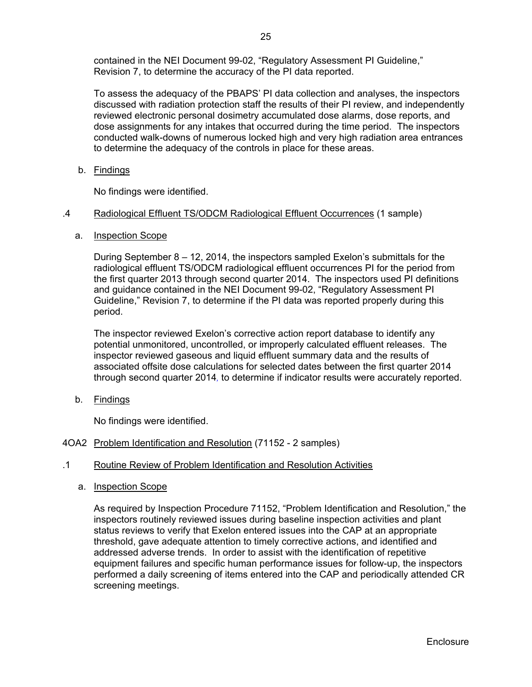contained in the NEI Document 99-02, "Regulatory Assessment PI Guideline," Revision 7, to determine the accuracy of the PI data reported.

To assess the adequacy of the PBAPS' PI data collection and analyses, the inspectors discussed with radiation protection staff the results of their PI review, and independently reviewed electronic personal dosimetry accumulated dose alarms, dose reports, and dose assignments for any intakes that occurred during the time period. The inspectors conducted walk-downs of numerous locked high and very high radiation area entrances to determine the adequacy of the controls in place for these areas.

b. Findings

No findings were identified.

#### .4 Radiological Effluent TS/ODCM Radiological Effluent Occurrences (1 sample)

a. Inspection Scope

During September 8 – 12, 2014, the inspectors sampled Exelon's submittals for the radiological effluent TS/ODCM radiological effluent occurrences PI for the period from the first quarter 2013 through second quarter 2014. The inspectors used PI definitions and guidance contained in the NEI Document 99-02, "Regulatory Assessment PI Guideline," Revision 7, to determine if the PI data was reported properly during this period.

The inspector reviewed Exelon's corrective action report database to identify any potential unmonitored, uncontrolled, or improperly calculated effluent releases. The inspector reviewed gaseous and liquid effluent summary data and the results of associated offsite dose calculations for selected dates between the first quarter 2014 through second quarter 2014*,* to determine if indicator results were accurately reported.

b. Findings

No findings were identified.

4OA2 Problem Identification and Resolution (71152 - 2 samples)

## .1 Routine Review of Problem Identification and Resolution Activities

a. Inspection Scope

As required by Inspection Procedure 71152, "Problem Identification and Resolution," the inspectors routinely reviewed issues during baseline inspection activities and plant status reviews to verify that Exelon entered issues into the CAP at an appropriate threshold, gave adequate attention to timely corrective actions, and identified and addressed adverse trends. In order to assist with the identification of repetitive equipment failures and specific human performance issues for follow-up, the inspectors performed a daily screening of items entered into the CAP and periodically attended CR screening meetings.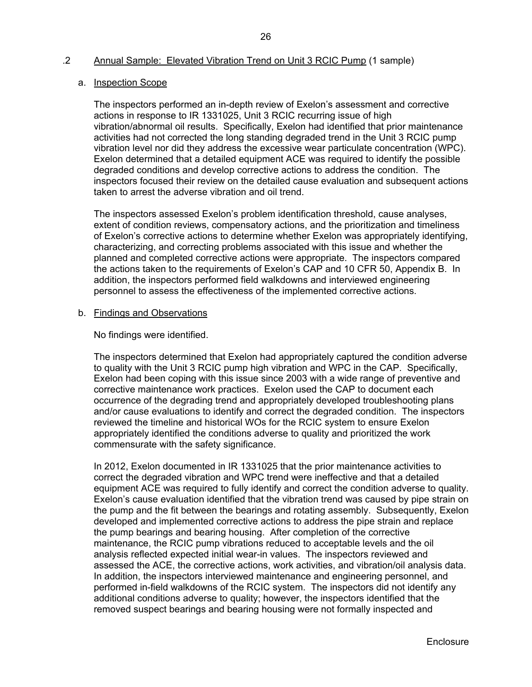#### .2 Annual Sample: Elevated Vibration Trend on Unit 3 RCIC Pump (1 sample)

#### a. Inspection Scope

The inspectors performed an in-depth review of Exelon's assessment and corrective actions in response to IR 1331025, Unit 3 RCIC recurring issue of high vibration/abnormal oil results. Specifically, Exelon had identified that prior maintenance activities had not corrected the long standing degraded trend in the Unit 3 RCIC pump vibration level nor did they address the excessive wear particulate concentration (WPC). Exelon determined that a detailed equipment ACE was required to identify the possible degraded conditions and develop corrective actions to address the condition. The inspectors focused their review on the detailed cause evaluation and subsequent actions taken to arrest the adverse vibration and oil trend.

The inspectors assessed Exelon's problem identification threshold, cause analyses, extent of condition reviews, compensatory actions, and the prioritization and timeliness of Exelon's corrective actions to determine whether Exelon was appropriately identifying, characterizing, and correcting problems associated with this issue and whether the planned and completed corrective actions were appropriate. The inspectors compared the actions taken to the requirements of Exelon's CAP and 10 CFR 50, Appendix B. In addition, the inspectors performed field walkdowns and interviewed engineering personnel to assess the effectiveness of the implemented corrective actions.

#### b. Findings and Observations

No findings were identified.

The inspectors determined that Exelon had appropriately captured the condition adverse to quality with the Unit 3 RCIC pump high vibration and WPC in the CAP. Specifically, Exelon had been coping with this issue since 2003 with a wide range of preventive and corrective maintenance work practices. Exelon used the CAP to document each occurrence of the degrading trend and appropriately developed troubleshooting plans and/or cause evaluations to identify and correct the degraded condition. The inspectors reviewed the timeline and historical WOs for the RCIC system to ensure Exelon appropriately identified the conditions adverse to quality and prioritized the work commensurate with the safety significance.

In 2012, Exelon documented in IR 1331025 that the prior maintenance activities to correct the degraded vibration and WPC trend were ineffective and that a detailed equipment ACE was required to fully identify and correct the condition adverse to quality. Exelon's cause evaluation identified that the vibration trend was caused by pipe strain on the pump and the fit between the bearings and rotating assembly. Subsequently, Exelon developed and implemented corrective actions to address the pipe strain and replace the pump bearings and bearing housing. After completion of the corrective maintenance, the RCIC pump vibrations reduced to acceptable levels and the oil analysis reflected expected initial wear-in values. The inspectors reviewed and assessed the ACE, the corrective actions, work activities, and vibration/oil analysis data. In addition, the inspectors interviewed maintenance and engineering personnel, and performed in-field walkdowns of the RCIC system. The inspectors did not identify any additional conditions adverse to quality; however, the inspectors identified that the removed suspect bearings and bearing housing were not formally inspected and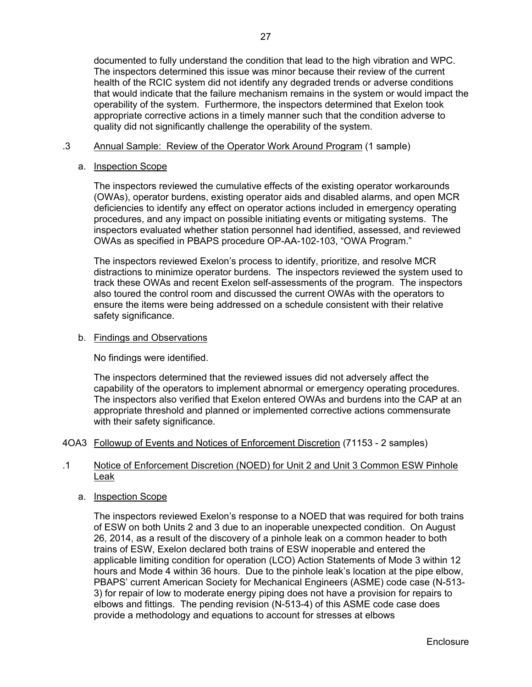documented to fully understand the condition that lead to the high vibration and WPC. The inspectors determined this issue was minor because their review of the current health of the RCIC system did not identify any degraded trends or adverse conditions that would indicate that the failure mechanism remains in the system or would impact the operability of the system. Furthermore, the inspectors determined that Exelon took appropriate corrective actions in a timely manner such that the condition adverse to quality did not significantly challenge the operability of the system.

#### .3 Annual Sample: Review of the Operator Work Around Program (1 sample)

#### a. Inspection Scope

The inspectors reviewed the cumulative effects of the existing operator workarounds (OWAs), operator burdens, existing operator aids and disabled alarms, and open MCR deficiencies to identify any effect on operator actions included in emergency operating procedures, and any impact on possible initiating events or mitigating systems. The inspectors evaluated whether station personnel had identified, assessed, and reviewed OWAs as specified in PBAPS procedure OP-AA-102-103, "OWA Program."

The inspectors reviewed Exelon's process to identify, prioritize, and resolve MCR distractions to minimize operator burdens. The inspectors reviewed the system used to track these OWAs and recent Exelon self-assessments of the program. The inspectors also toured the control room and discussed the current OWAs with the operators to ensure the items were being addressed on a schedule consistent with their relative safety significance.

#### b. Findings and Observations

No findings were identified.

The inspectors determined that the reviewed issues did not adversely affect the capability of the operators to implement abnormal or emergency operating procedures. The inspectors also verified that Exelon entered OWAs and burdens into the CAP at an appropriate threshold and planned or implemented corrective actions commensurate with their safety significance.

#### 4OA3 Followup of Events and Notices of Enforcement Discretion (71153 - 2 samples)

#### .1 Notice of Enforcement Discretion (NOED) for Unit 2 and Unit 3 Common ESW Pinhole Leak

#### a. Inspection Scope

The inspectors reviewed Exelon's response to a NOED that was required for both trains of ESW on both Units 2 and 3 due to an inoperable unexpected condition. On August 26, 2014, as a result of the discovery of a pinhole leak on a common header to both trains of ESW, Exelon declared both trains of ESW inoperable and entered the applicable limiting condition for operation (LCO) Action Statements of Mode 3 within 12 hours and Mode 4 within 36 hours. Due to the pinhole leak's location at the pipe elbow, PBAPS' current American Society for Mechanical Engineers (ASME) code case (N-513- 3) for repair of low to moderate energy piping does not have a provision for repairs to elbows and fittings. The pending revision (N-513-4) of this ASME code case does provide a methodology and equations to account for stresses at elbows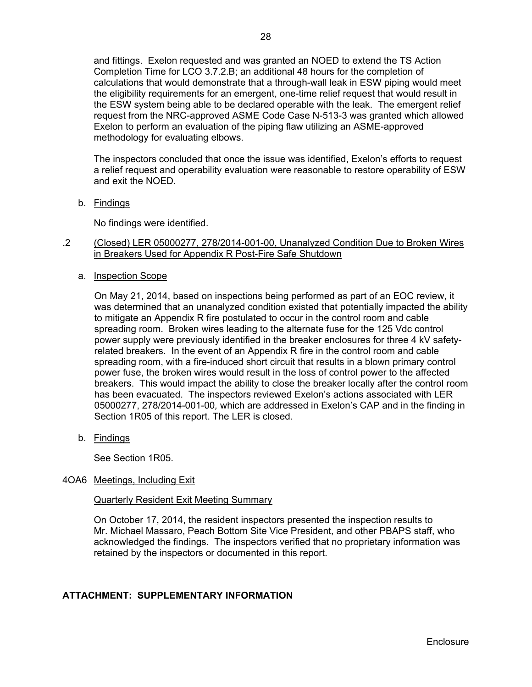and fittings. Exelon requested and was granted an NOED to extend the TS Action Completion Time for LCO 3.7.2.B; an additional 48 hours for the completion of calculations that would demonstrate that a through-wall leak in ESW piping would meet the eligibility requirements for an emergent, one-time relief request that would result in the ESW system being able to be declared operable with the leak. The emergent relief request from the NRC-approved ASME Code Case N-513-3 was granted which allowed Exelon to perform an evaluation of the piping flaw utilizing an ASME-approved methodology for evaluating elbows.

The inspectors concluded that once the issue was identified, Exelon's efforts to request a relief request and operability evaluation were reasonable to restore operability of ESW and exit the NOED.

b. Findings

No findings were identified.

- .2 (Closed) LER 05000277, 278/2014-001-00, Unanalyzed Condition Due to Broken Wires in Breakers Used for Appendix R Post-Fire Safe Shutdown
	- a. Inspection Scope

On May 21, 2014, based on inspections being performed as part of an EOC review, it was determined that an unanalyzed condition existed that potentially impacted the ability to mitigate an Appendix R fire postulated to occur in the control room and cable spreading room. Broken wires leading to the alternate fuse for the 125 Vdc control power supply were previously identified in the breaker enclosures for three 4 kV safetyrelated breakers. In the event of an Appendix R fire in the control room and cable spreading room, with a fire-induced short circuit that results in a blown primary control power fuse, the broken wires would result in the loss of control power to the affected breakers. This would impact the ability to close the breaker locally after the control room has been evacuated. The inspectors reviewed Exelon's actions associated with LER 05000277, 278/2014-001-00*,* which are addressed in Exelon's CAP and in the finding in Section 1R05 of this report. The LER is closed.

b. Findings

See Section 1R05.

#### 4OA6 Meetings, Including Exit

Quarterly Resident Exit Meeting Summary

On October 17, 2014, the resident inspectors presented the inspection results to Mr. Michael Massaro, Peach Bottom Site Vice President, and other PBAPS staff, who acknowledged the findings. The inspectors verified that no proprietary information was retained by the inspectors or documented in this report.

## **ATTACHMENT: SUPPLEMENTARY INFORMATION**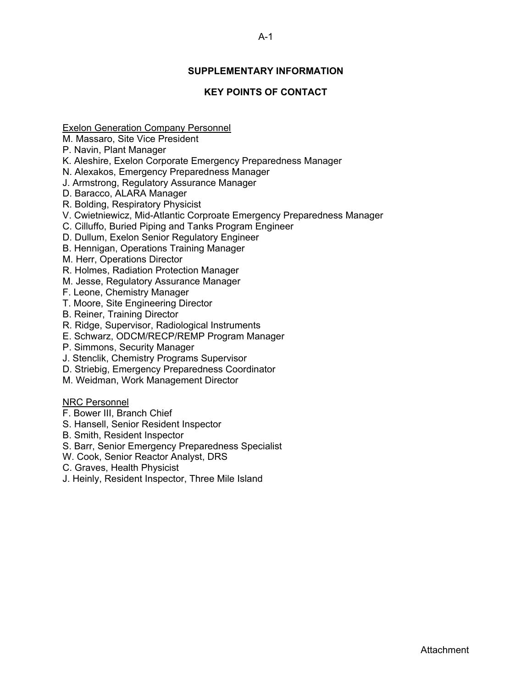## **SUPPLEMENTARY INFORMATION**

## **KEY POINTS OF CONTACT**

Exelon Generation Company Personnel

- M. Massaro, Site Vice President
- P. Navin, Plant Manager
- K. Aleshire, Exelon Corporate Emergency Preparedness Manager
- N. Alexakos, Emergency Preparedness Manager
- J. Armstrong, Regulatory Assurance Manager
- D. Baracco, ALARA Manager
- R. Bolding, Respiratory Physicist
- V. Cwietniewicz, Mid-Atlantic Corproate Emergency Preparedness Manager
- C. Cilluffo, Buried Piping and Tanks Program Engineer
- D. Dullum, Exelon Senior Regulatory Engineer
- B. Hennigan, Operations Training Manager
- M. Herr, Operations Director
- R. Holmes, Radiation Protection Manager
- M. Jesse, Regulatory Assurance Manager
- F. Leone, Chemistry Manager
- T. Moore, Site Engineering Director
- B. Reiner, Training Director
- R. Ridge, Supervisor, Radiological Instruments
- E. Schwarz, ODCM/RECP/REMP Program Manager
- P. Simmons, Security Manager
- J. Stenclik, Chemistry Programs Supervisor
- D. Striebig, Emergency Preparedness Coordinator
- M. Weidman, Work Management Director

### NRC Personnel

- F. Bower III, Branch Chief
- S. Hansell, Senior Resident Inspector
- B. Smith, Resident Inspector
- S. Barr, Senior Emergency Preparedness Specialist
- W. Cook, Senior Reactor Analyst, DRS
- C. Graves, Health Physicist
- J. Heinly, Resident Inspector, Three Mile Island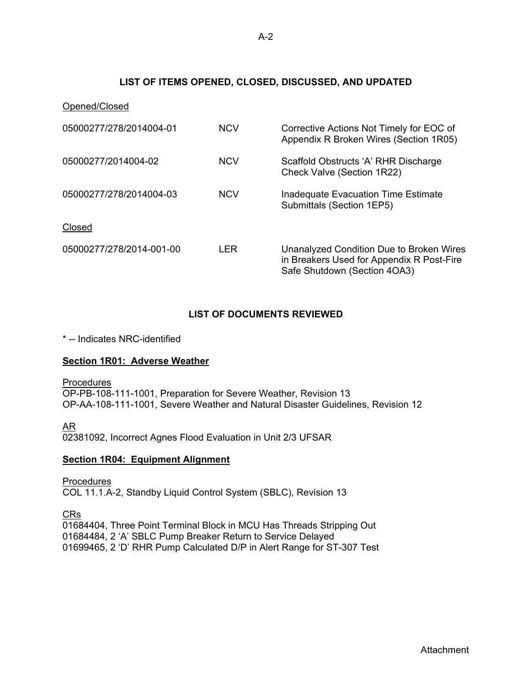## **LIST OF ITEMS OPENED, CLOSED, DISCUSSED, AND UPDATED**

| Opened/Closed            |            |                                                                                                                       |
|--------------------------|------------|-----------------------------------------------------------------------------------------------------------------------|
| 05000277/278/2014004-01  | <b>NCV</b> | Corrective Actions Not Timely for EOC of<br>Appendix R Broken Wires (Section 1R05)                                    |
| 05000277/2014004-02      | <b>NCV</b> | Scaffold Obstructs 'A' RHR Discharge<br>Check Valve (Section 1R22)                                                    |
| 05000277/278/2014004-03  | <b>NCV</b> | Inadequate Evacuation Time Estimate<br>Submittals (Section 1EP5)                                                      |
| Closed                   |            |                                                                                                                       |
| 05000277/278/2014-001-00 | LER        | Unanalyzed Condition Due to Broken Wires<br>in Breakers Used for Appendix R Post-Fire<br>Safe Shutdown (Section 4OA3) |

## **LIST OF DOCUMENTS REVIEWED**

\* -- Indicates NRC-identified

## **Section 1R01: Adverse Weather**

**Procedures** OP-PB-108-111-1001, Preparation for Severe Weather, Revision 13 OP-AA-108-111-1001, Severe Weather and Natural Disaster Guidelines, Revision 12

AR

02381092, Incorrect Agnes Flood Evaluation in Unit 2/3 UFSAR

#### **Section 1R04: Equipment Alignment**

**Procedures** COL 11.1.A-2, Standby Liquid Control System (SBLC), Revision 13

CRs

01684404, Three Point Terminal Block in MCU Has Threads Stripping Out 01684484, 2 'A' SBLC Pump Breaker Return to Service Delayed 01699465, 2 'D' RHR Pump Calculated D/P in Alert Range for ST-307 Test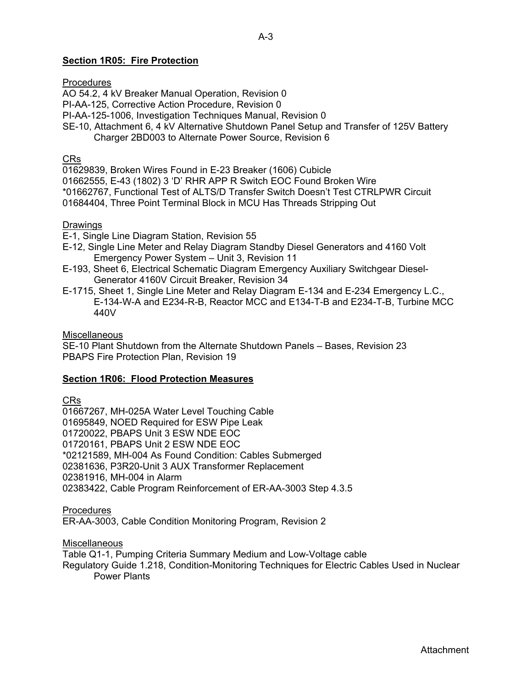### **Section 1R05: Fire Protection**

#### **Procedures**

AO 54.2, 4 kV Breaker Manual Operation, Revision 0

PI-AA-125, Corrective Action Procedure, Revision 0

PI-AA-125-1006, Investigation Techniques Manual, Revision 0

SE-10, Attachment 6, 4 kV Alternative Shutdown Panel Setup and Transfer of 125V Battery

Charger 2BD003 to Alternate Power Source, Revision 6

## CRs

01629839, Broken Wires Found in E-23 Breaker (1606) Cubicle

01662555, E-43 (1802) 3 'D' RHR APP R Switch EOC Found Broken Wire

\*01662767, Functional Test of ALTS/D Transfer Switch Doesn't Test CTRLPWR Circuit

01684404, Three Point Terminal Block in MCU Has Threads Stripping Out

#### Drawings

E-1, Single Line Diagram Station, Revision 55

- E-12, Single Line Meter and Relay Diagram Standby Diesel Generators and 4160 Volt Emergency Power System – Unit 3, Revision 11
- E-193, Sheet 6, Electrical Schematic Diagram Emergency Auxiliary Switchgear Diesel- Generator 4160V Circuit Breaker, Revision 34
- E-1715, Sheet 1, Single Line Meter and Relay Diagram E-134 and E-234 Emergency L.C., E-134-W-A and E234-R-B, Reactor MCC and E134-T-B and E234-T-B, Turbine MCC 440V

#### **Miscellaneous**

SE-10 Plant Shutdown from the Alternate Shutdown Panels – Bases, Revision 23 PBAPS Fire Protection Plan, Revision 19

#### **Section 1R06: Flood Protection Measures**

CRs

01667267, MH-025A Water Level Touching Cable 01695849, NOED Required for ESW Pipe Leak 01720022, PBAPS Unit 3 ESW NDE EOC 01720161, PBAPS Unit 2 ESW NDE EOC \*02121589, MH-004 As Found Condition: Cables Submerged 02381636, P3R20-Unit 3 AUX Transformer Replacement 02381916, MH-004 in Alarm 02383422, Cable Program Reinforcement of ER-AA-3003 Step 4.3.5

Procedures

ER-AA-3003, Cable Condition Monitoring Program, Revision 2

Miscellaneous

Table Q1-1, Pumping Criteria Summary Medium and Low-Voltage cable Regulatory Guide 1.218, Condition-Monitoring Techniques for Electric Cables Used in Nuclear Power Plants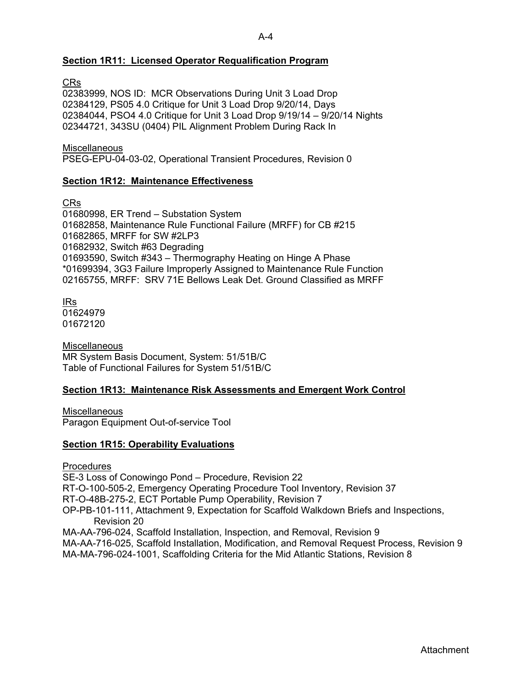#### A-4

### **Section 1R11: Licensed Operator Requalification Program**

CRs

02383999, NOS ID: MCR Observations During Unit 3 Load Drop 02384129, PS05 4.0 Critique for Unit 3 Load Drop 9/20/14, Days 02384044, PSO4 4.0 Critique for Unit 3 Load Drop 9/19/14 – 9/20/14 Nights 02344721, 343SU (0404) PIL Alignment Problem During Rack In

**Miscellaneous** 

PSEG-EPU-04-03-02, Operational Transient Procedures, Revision 0

#### **Section 1R12: Maintenance Effectiveness**

CRs

01680998, ER Trend – Substation System 01682858, Maintenance Rule Functional Failure (MRFF) for CB #215 01682865, MRFF for SW #2LP3 01682932, Switch #63 Degrading 01693590, Switch #343 – Thermography Heating on Hinge A Phase \*01699394, 3G3 Failure Improperly Assigned to Maintenance Rule Function 02165755, MRFF: SRV 71E Bellows Leak Det. Ground Classified as MRFF

IRs 01624979 01672120

**Miscellaneous** MR System Basis Document, System: 51/51B/C Table of Functional Failures for System 51/51B/C

#### **Section 1R13: Maintenance Risk Assessments and Emergent Work Control**

**Miscellaneous** Paragon Equipment Out-of-service Tool

#### **Section 1R15: Operability Evaluations**

**Procedures** 

SE-3 Loss of Conowingo Pond – Procedure, Revision 22

RT-O-100-505-2, Emergency Operating Procedure Tool Inventory, Revision 37

RT-O-48B-275-2, ECT Portable Pump Operability, Revision 7

OP-PB-101-111, Attachment 9, Expectation for Scaffold Walkdown Briefs and Inspections, Revision 20

MA-AA-796-024, Scaffold Installation, Inspection, and Removal, Revision 9

MA-AA-716-025, Scaffold Installation, Modification, and Removal Request Process, Revision 9 MA-MA-796-024-1001, Scaffolding Criteria for the Mid Atlantic Stations, Revision 8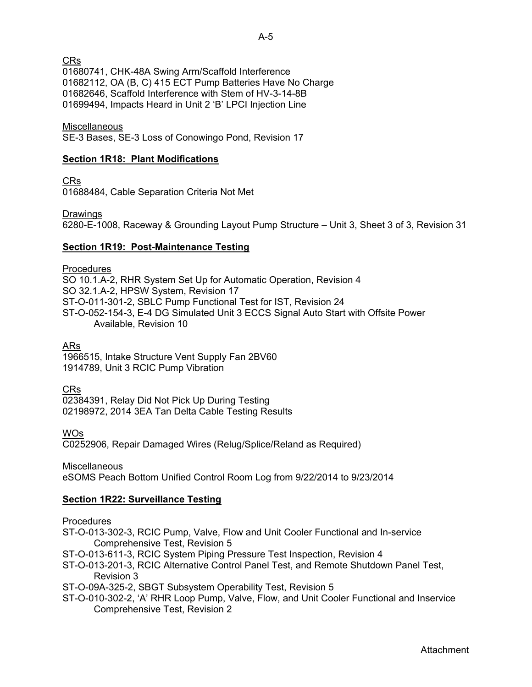CRs

01680741, CHK-48A Swing Arm/Scaffold Interference 01682112, OA (B, C) 415 ECT Pump Batteries Have No Charge 01682646, Scaffold Interference with Stem of HV-3-14-8B 01699494, Impacts Heard in Unit 2 'B' LPCI Injection Line

**Miscellaneous** 

SE-3 Bases, SE-3 Loss of Conowingo Pond, Revision 17

### **Section 1R18: Plant Modifications**

CRs

01688484, Cable Separation Criteria Not Met

Drawings

6280-E-1008, Raceway & Grounding Layout Pump Structure – Unit 3, Sheet 3 of 3, Revision 31

### **Section 1R19: Post-Maintenance Testing**

**Procedures** SO 10.1.A-2, RHR System Set Up for Automatic Operation, Revision 4 SO 32.1.A-2, HPSW System, Revision 17 ST-O-011-301-2, SBLC Pump Functional Test for IST, Revision 24 ST-O-052-154-3, E-4 DG Simulated Unit 3 ECCS Signal Auto Start with Offsite Power Available, Revision 10

ARs

1966515, Intake Structure Vent Supply Fan 2BV60 1914789, Unit 3 RCIC Pump Vibration

CRs

02384391, Relay Did Not Pick Up During Testing 02198972, 2014 3EA Tan Delta Cable Testing Results

WOs

C0252906, Repair Damaged Wires (Relug/Splice/Reland as Required)

Miscellaneous

eSOMS Peach Bottom Unified Control Room Log from 9/22/2014 to 9/23/2014

## **Section 1R22: Surveillance Testing**

#### **Procedures**

ST-O-013-302-3, RCIC Pump, Valve, Flow and Unit Cooler Functional and In-service Comprehensive Test, Revision 5

ST-O-013-611-3, RCIC System Piping Pressure Test Inspection, Revision 4

ST-O-013-201-3, RCIC Alternative Control Panel Test, and Remote Shutdown Panel Test, Revision 3

ST-O-09A-325-2, SBGT Subsystem Operability Test, Revision 5

ST-O-010-302-2, 'A' RHR Loop Pump, Valve, Flow, and Unit Cooler Functional and Inservice Comprehensive Test, Revision 2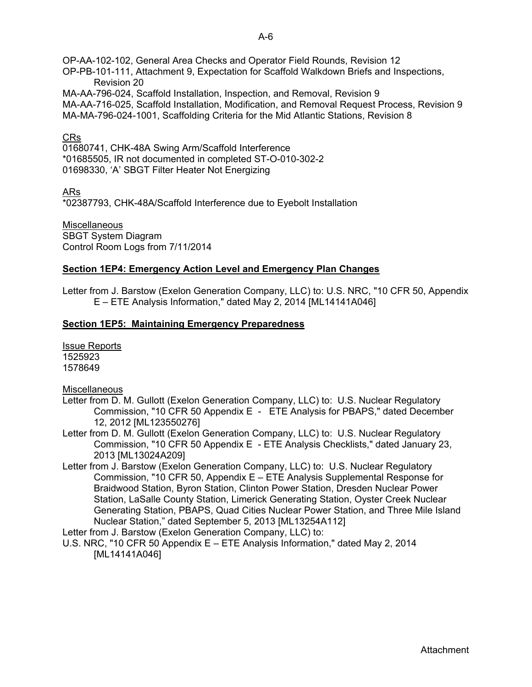OP-AA-102-102, General Area Checks and Operator Field Rounds, Revision 12 OP-PB-101-111, Attachment 9, Expectation for Scaffold Walkdown Briefs and Inspections, Revision 20 MA-AA-796-024, Scaffold Installation, Inspection, and Removal, Revision 9

MA-AA-716-025, Scaffold Installation, Modification, and Removal Request Process, Revision 9 MA-MA-796-024-1001, Scaffolding Criteria for the Mid Atlantic Stations, Revision 8

### CRs

01680741, CHK-48A Swing Arm/Scaffold Interference \*01685505, IR not documented in completed ST-O-010-302-2 01698330, 'A' SBGT Filter Heater Not Energizing

ARs

\*02387793, CHK-48A/Scaffold Interference due to Eyebolt Installation

Miscellaneous SBGT System Diagram Control Room Logs from 7/11/2014

### **Section 1EP4: Emergency Action Level and Emergency Plan Changes**

Letter from J. Barstow (Exelon Generation Company, LLC) to: U.S. NRC, "10 CFR 50, Appendix E – ETE Analysis Information," dated May 2, 2014 [ML14141A046]

### **Section 1EP5: Maintaining Emergency Preparedness**

Issue Reports 1525923 1578649

**Miscellaneous** 

- Letter from D. M. Gullott (Exelon Generation Company, LLC) to: U.S. Nuclear Regulatory Commission, "10 CFR 50 Appendix E - ETE Analysis for PBAPS," dated December 12, 2012 [ML123550276]
- Letter from D. M. Gullott (Exelon Generation Company, LLC) to: U.S. Nuclear Regulatory Commission, "10 CFR 50 Appendix E - ETE Analysis Checklists," dated January 23, 2013 [ML13024A209]
- Letter from J. Barstow (Exelon Generation Company, LLC) to: U.S. Nuclear Regulatory Commission, "10 CFR 50, Appendix E – ETE Analysis Supplemental Response for Braidwood Station, Byron Station, Clinton Power Station, Dresden Nuclear Power Station, LaSalle County Station, Limerick Generating Station, Oyster Creek Nuclear Generating Station, PBAPS, Quad Cities Nuclear Power Station, and Three Mile Island Nuclear Station," dated September 5, 2013 [ML13254A112]

Letter from J. Barstow (Exelon Generation Company, LLC) to:

U.S. NRC, "10 CFR 50 Appendix E – ETE Analysis Information," dated May 2, 2014 [ML14141A046]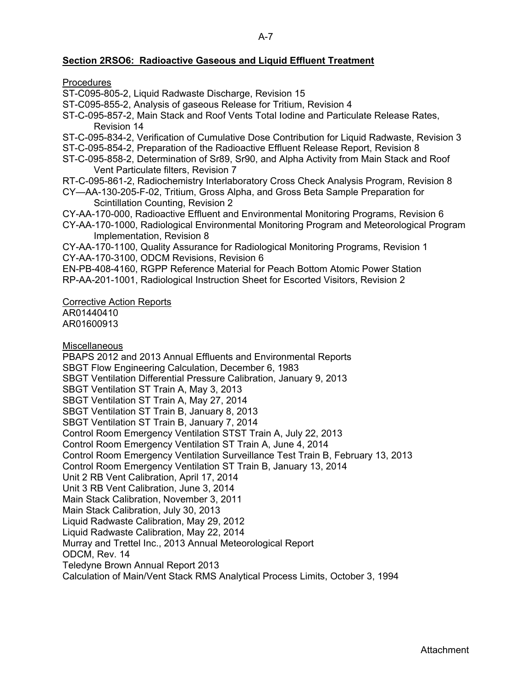## **Section 2RSO6: Radioactive Gaseous and Liquid Effluent Treatment**

**Procedures** 

ST-C095-805-2, Liquid Radwaste Discharge, Revision 15

ST-C095-855-2, Analysis of gaseous Release for Tritium, Revision 4

ST-C-095-857-2, Main Stack and Roof Vents Total Iodine and Particulate Release Rates, Revision 14

ST-C-095-834-2, Verification of Cumulative Dose Contribution for Liquid Radwaste, Revision 3

ST-C-095-854-2, Preparation of the Radioactive Effluent Release Report, Revision 8

ST-C-095-858-2, Determination of Sr89, Sr90, and Alpha Activity from Main Stack and Roof Vent Particulate filters, Revision 7

RT-C-095-861-2, Radiochemistry Interlaboratory Cross Check Analysis Program, Revision 8

CY—AA-130-205-F-02, Tritium, Gross Alpha, and Gross Beta Sample Preparation for Scintillation Counting, Revision 2

CY-AA-170-000, Radioactive Effluent and Environmental Monitoring Programs, Revision 6

CY-AA-170-1000, Radiological Environmental Monitoring Program and Meteorological Program Implementation, Revision 8

CY-AA-170-1100, Quality Assurance for Radiological Monitoring Programs, Revision 1 CY-AA-170-3100, ODCM Revisions, Revision 6

EN-PB-408-4160, RGPP Reference Material for Peach Bottom Atomic Power Station

RP-AA-201-1001, Radiological Instruction Sheet for Escorted Visitors, Revision 2

Corrective Action Reports

AR01440410 AR01600913

**Miscellaneous** 

PBAPS 2012 and 2013 Annual Effluents and Environmental Reports SBGT Flow Engineering Calculation, December 6, 1983 SBGT Ventilation Differential Pressure Calibration, January 9, 2013 SBGT Ventilation ST Train A, May 3, 2013 SBGT Ventilation ST Train A, May 27, 2014 SBGT Ventilation ST Train B, January 8, 2013 SBGT Ventilation ST Train B, January 7, 2014 Control Room Emergency Ventilation STST Train A, July 22, 2013 Control Room Emergency Ventilation ST Train A, June 4, 2014 Control Room Emergency Ventilation Surveillance Test Train B, February 13, 2013 Control Room Emergency Ventilation ST Train B, January 13, 2014 Unit 2 RB Vent Calibration, April 17, 2014 Unit 3 RB Vent Calibration, June 3, 2014 Main Stack Calibration, November 3, 2011 Main Stack Calibration, July 30, 2013 Liquid Radwaste Calibration, May 29, 2012 Liquid Radwaste Calibration, May 22, 2014 Murray and Trettel Inc., 2013 Annual Meteorological Report ODCM, Rev. 14 Teledyne Brown Annual Report 2013 Calculation of Main/Vent Stack RMS Analytical Process Limits, October 3, 1994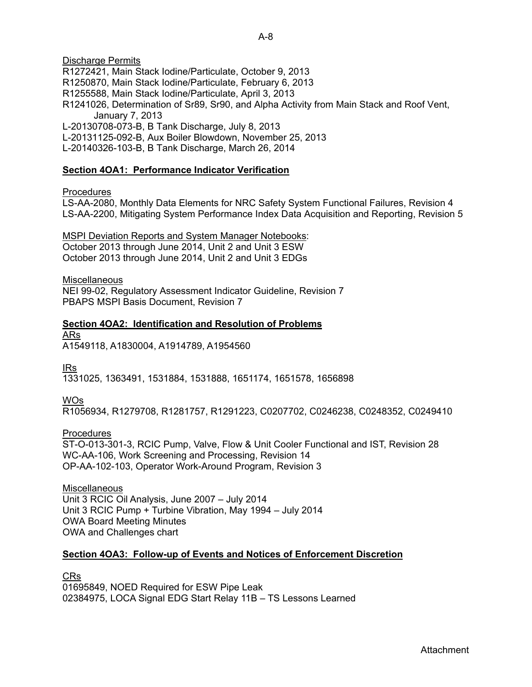L-20131125-092-B, Aux Boiler Blowdown, November 25, 2013

L-20140326-103-B, B Tank Discharge, March 26, 2014

## **Section 4OA1: Performance Indicator Verification**

#### Procedures

LS-AA-2080, Monthly Data Elements for NRC Safety System Functional Failures, Revision 4 LS-AA-2200, Mitigating System Performance Index Data Acquisition and Reporting, Revision 5

MSPI Deviation Reports and System Manager Notebooks:

October 2013 through June 2014, Unit 2 and Unit 3 ESW October 2013 through June 2014, Unit 2 and Unit 3 EDGs

#### **Miscellaneous**

NEI 99-02, Regulatory Assessment Indicator Guideline, Revision 7 PBAPS MSPI Basis Document, Revision 7

**Section 4OA2: Identification and Resolution of Problems**  ARs

A1549118, A1830004, A1914789, A1954560

IRs

1331025, 1363491, 1531884, 1531888, 1651174, 1651578, 1656898

WOs

R1056934, R1279708, R1281757, R1291223, C0207702, C0246238, C0248352, C0249410

Procedures

ST-O-013-301-3, RCIC Pump, Valve, Flow & Unit Cooler Functional and IST, Revision 28 WC-AA-106, Work Screening and Processing, Revision 14 OP-AA-102-103, Operator Work-Around Program, Revision 3

#### **Miscellaneous**

Unit 3 RCIC Oil Analysis, June 2007 – July 2014 Unit 3 RCIC Pump + Turbine Vibration, May 1994 – July 2014 OWA Board Meeting Minutes OWA and Challenges chart

## **Section 4OA3: Follow-up of Events and Notices of Enforcement Discretion**

CRs

01695849, NOED Required for ESW Pipe Leak 02384975, LOCA Signal EDG Start Relay 11B – TS Lessons Learned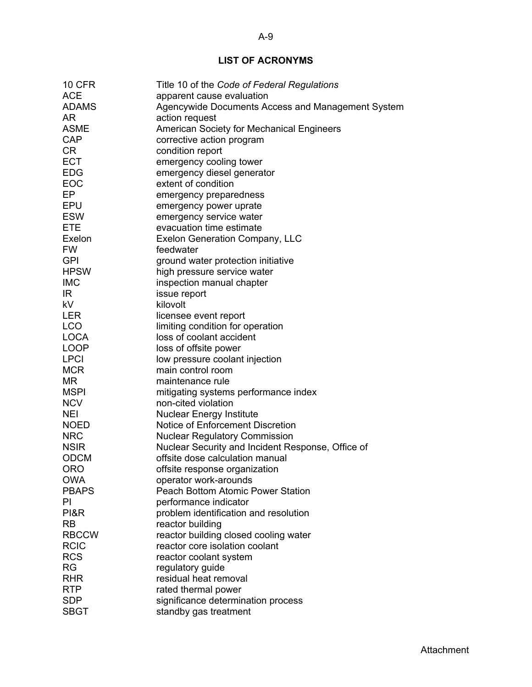# **LIST OF ACRONYMS**

| <b>10 CFR</b>   | Title 10 of the Code of Federal Regulations                                               |
|-----------------|-------------------------------------------------------------------------------------------|
| <b>ACE</b>      | apparent cause evaluation                                                                 |
| <b>ADAMS</b>    | Agencywide Documents Access and Management System                                         |
| AR.             | action request                                                                            |
| <b>ASME</b>     | <b>American Society for Mechanical Engineers</b>                                          |
| CAP             | corrective action program                                                                 |
| <b>CR</b>       | condition report                                                                          |
| <b>ECT</b>      | emergency cooling tower                                                                   |
| <b>EDG</b>      | emergency diesel generator                                                                |
| EOC             | extent of condition                                                                       |
| EP              | emergency preparedness                                                                    |
| <b>EPU</b>      | emergency power uprate                                                                    |
| <b>ESW</b>      | emergency service water                                                                   |
| <b>ETE</b>      | evacuation time estimate                                                                  |
| Exelon          | <b>Exelon Generation Company, LLC</b>                                                     |
| <b>FW</b>       | feedwater                                                                                 |
| <b>GPI</b>      | ground water protection initiative                                                        |
| <b>HPSW</b>     | high pressure service water                                                               |
| <b>IMC</b>      | inspection manual chapter                                                                 |
| IR.             | issue report                                                                              |
| <b>kV</b>       | kilovolt                                                                                  |
| <b>LER</b>      | licensee event report                                                                     |
| LCO             | limiting condition for operation                                                          |
| <b>LOCA</b>     | loss of coolant accident                                                                  |
| <b>LOOP</b>     | loss of offsite power                                                                     |
| <b>LPCI</b>     | low pressure coolant injection                                                            |
| <b>MCR</b>      | main control room                                                                         |
| MR              | maintenance rule                                                                          |
| <b>MSPI</b>     |                                                                                           |
| <b>NCV</b>      | mitigating systems performance index<br>non-cited violation                               |
| <b>NEI</b>      |                                                                                           |
| <b>NOED</b>     | <b>Nuclear Energy Institute</b><br><b>Notice of Enforcement Discretion</b>                |
| <b>NRC</b>      |                                                                                           |
| <b>NSIR</b>     | <b>Nuclear Regulatory Commission</b><br>Nuclear Security and Incident Response, Office of |
| <b>ODCM</b>     | offsite dose calculation manual                                                           |
|                 |                                                                                           |
| <b>ORO</b>      | offsite response organization                                                             |
| <b>OWA</b>      | operator work-arounds                                                                     |
| <b>PBAPS</b>    | <b>Peach Bottom Atomic Power Station</b>                                                  |
| PI              | performance indicator                                                                     |
| <b>PI&amp;R</b> | problem identification and resolution                                                     |
| <b>RB</b>       | reactor building                                                                          |
| <b>RBCCW</b>    | reactor building closed cooling water                                                     |
| <b>RCIC</b>     | reactor core isolation coolant                                                            |
| <b>RCS</b>      | reactor coolant system                                                                    |
| <b>RG</b>       | regulatory guide                                                                          |
| <b>RHR</b>      | residual heat removal                                                                     |
| <b>RTP</b>      | rated thermal power                                                                       |
| <b>SDP</b>      | significance determination process                                                        |
| <b>SBGT</b>     | standby gas treatment                                                                     |